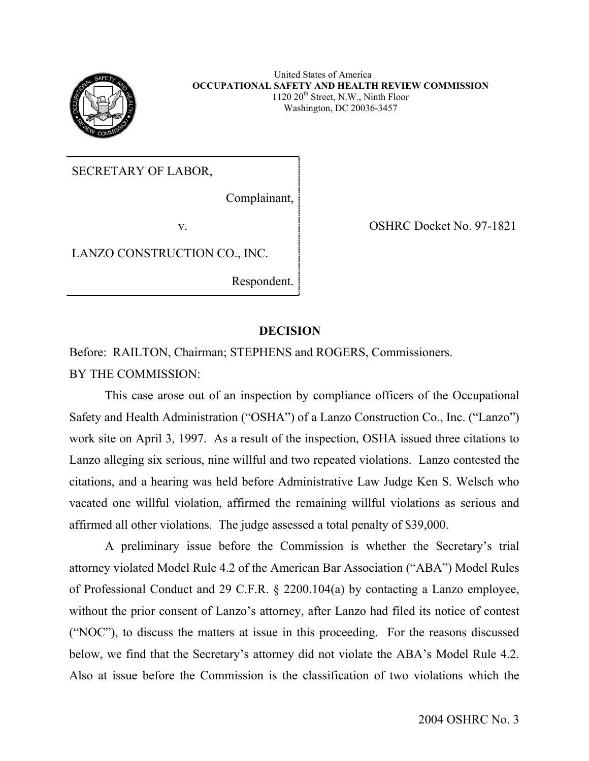

United States of America **OCCUPATIONAL SAFETY AND HEALTH REVIEW COMMISSION**  $1120 20<sup>th</sup> Street, N.W., Ninth Floor$ Washington, DC 20036-3457

SECRETARY OF LABOR,

Complainant,

LANZO CONSTRUCTION CO., INC.

Respondent.

v. OSHRC Docket No. 97-1821

# **DECISION**

Before: RAILTON, Chairman; STEPHENS and ROGERS, Commissioners. BY THE COMMISSION:

This case arose out of an inspection by compliance officers of the Occupational Safety and Health Administration ("OSHA") of a Lanzo Construction Co., Inc. ("Lanzo") work site on April 3, 1997. As a result of the inspection, OSHA issued three citations to Lanzo alleging six serious, nine willful and two repeated violations. Lanzo contested the citations, and a hearing was held before Administrative Law Judge Ken S. Welsch who vacated one willful violation, affirmed the remaining willful violations as serious and affirmed all other violations. The judge assessed a total penalty of \$39,000.

A preliminary issue before the Commission is whether the Secretary's trial attorney violated Model Rule 4.2 of the American Bar Association ("ABA") Model Rules of Professional Conduct and 29 C.F.R. § 2200.104(a) by contacting a Lanzo employee, without the prior consent of Lanzo's attorney, after Lanzo had filed its notice of contest ("NOC"), to discuss the matters at issue in this proceeding. For the reasons discussed below, we find that the Secretary's attorney did not violate the ABA's Model Rule 4.2. Also at issue before the Commission is the classification of two violations which the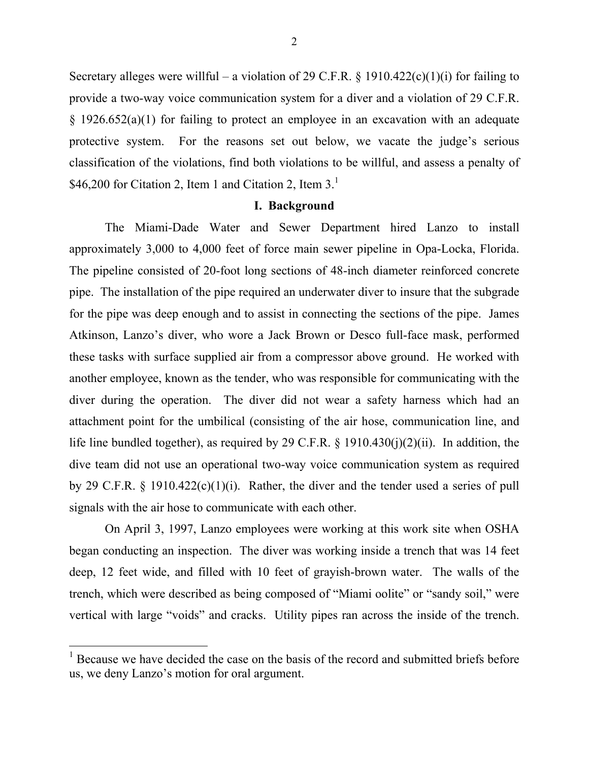Secretary alleges were willful – a violation of 29 C.F.R. § 1910.422(c)(1)(i) for failing to provide a two-way voice communication system for a diver and a violation of 29 C.F.R. § 1926.652(a)(1) for failing to protect an employee in an excavation with an adequate protective system. For the reasons set out below, we vacate the judge's serious classification of the violations, find both violations to be willful, and assess a penalty of \$46,200 for Citation 2, Item [1](#page-1-0) and Citation 2, Item  $3<sup>1</sup>$ 

## **I. Background**

The Miami-Dade Water and Sewer Department hired Lanzo to install approximately 3,000 to 4,000 feet of force main sewer pipeline in Opa-Locka, Florida. The pipeline consisted of 20-foot long sections of 48-inch diameter reinforced concrete pipe. The installation of the pipe required an underwater diver to insure that the subgrade for the pipe was deep enough and to assist in connecting the sections of the pipe. James Atkinson, Lanzo's diver, who wore a Jack Brown or Desco full-face mask, performed these tasks with surface supplied air from a compressor above ground. He worked with another employee, known as the tender, who was responsible for communicating with the diver during the operation. The diver did not wear a safety harness which had an attachment point for the umbilical (consisting of the air hose, communication line, and life line bundled together), as required by 29 C.F.R. § 1910.430(j)(2)(ii). In addition, the dive team did not use an operational two-way voice communication system as required by 29 C.F.R. § 1910.422(c)(1)(i). Rather, the diver and the tender used a series of pull signals with the air hose to communicate with each other.

On April 3, 1997, Lanzo employees were working at this work site when OSHA began conducting an inspection. The diver was working inside a trench that was 14 feet deep, 12 feet wide, and filled with 10 feet of grayish-brown water. The walls of the trench, which were described as being composed of "Miami oolite" or "sandy soil," were vertical with large "voids" and cracks. Utility pipes ran across the inside of the trench.

<span id="page-1-0"></span><sup>&</sup>lt;sup>1</sup> Because we have decided the case on the basis of the record and submitted briefs before us, we deny Lanzo's motion for oral argument.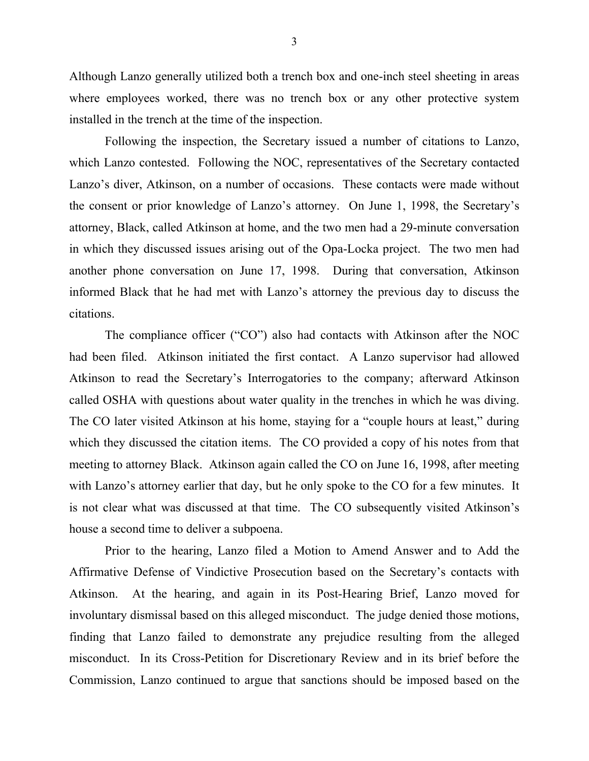Although Lanzo generally utilized both a trench box and one-inch steel sheeting in areas where employees worked, there was no trench box or any other protective system installed in the trench at the time of the inspection.

Following the inspection, the Secretary issued a number of citations to Lanzo, which Lanzo contested. Following the NOC, representatives of the Secretary contacted Lanzo's diver, Atkinson, on a number of occasions. These contacts were made without the consent or prior knowledge of Lanzo's attorney. On June 1, 1998, the Secretary's attorney, Black, called Atkinson at home, and the two men had a 29-minute conversation in which they discussed issues arising out of the Opa-Locka project. The two men had another phone conversation on June 17, 1998. During that conversation, Atkinson informed Black that he had met with Lanzo's attorney the previous day to discuss the citations.

The compliance officer ("CO") also had contacts with Atkinson after the NOC had been filed. Atkinson initiated the first contact. A Lanzo supervisor had allowed Atkinson to read the Secretary's Interrogatories to the company; afterward Atkinson called OSHA with questions about water quality in the trenches in which he was diving. The CO later visited Atkinson at his home, staying for a "couple hours at least," during which they discussed the citation items. The CO provided a copy of his notes from that meeting to attorney Black. Atkinson again called the CO on June 16, 1998, after meeting with Lanzo's attorney earlier that day, but he only spoke to the CO for a few minutes. It is not clear what was discussed at that time. The CO subsequently visited Atkinson's house a second time to deliver a subpoena.

Prior to the hearing, Lanzo filed a Motion to Amend Answer and to Add the Affirmative Defense of Vindictive Prosecution based on the Secretary's contacts with Atkinson. At the hearing, and again in its Post-Hearing Brief, Lanzo moved for involuntary dismissal based on this alleged misconduct. The judge denied those motions, finding that Lanzo failed to demonstrate any prejudice resulting from the alleged misconduct. In its Cross-Petition for Discretionary Review and in its brief before the Commission, Lanzo continued to argue that sanctions should be imposed based on the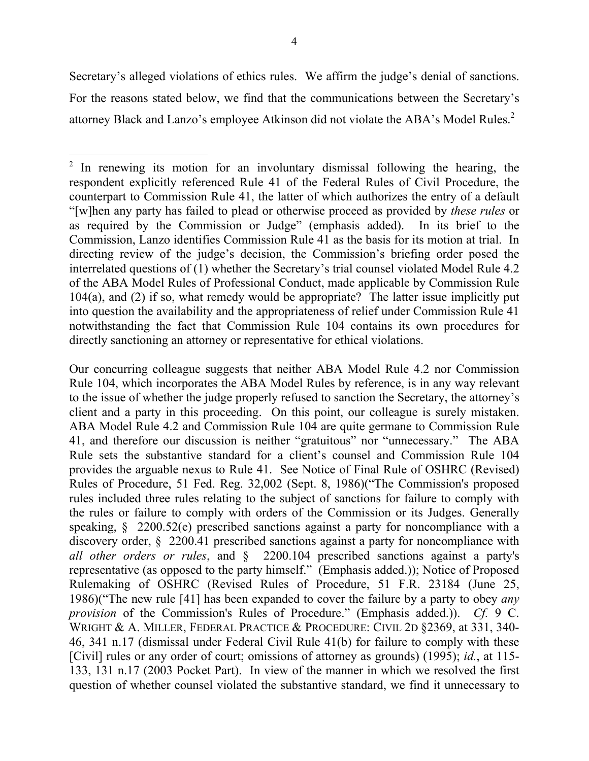<span id="page-3-0"></span>Secretary's alleged violations of ethics rules. We affirm the judge's denial of sanctions. For the reasons stated below, we find that the communications between the Secretary's attorney Black and Lanzo's employee Atkinson did not violate the ABA's Model Rules.<sup>2</sup>

Our concurring colleague suggests that neither ABA Model Rule 4.2 nor Commission Rule 104, which incorporates the ABA Model Rules by reference, is in any way relevant to the issue of whether the judge properly refused to sanction the Secretary, the attorney's client and a party in this proceeding. On this point, our colleague is surely mistaken. ABA Model Rule 4.2 and Commission Rule 104 are quite germane to Commission Rule 41, and therefore our discussion is neither "gratuitous" nor "unnecessary." The ABA Rule sets the substantive standard for a client's counsel and Commission Rule 104 provides the arguable nexus to Rule 41. See Notice of Final Rule of OSHRC (Revised) Rules of Procedure, 51 Fed. Reg. 32,002 (Sept. 8, 1986)("The Commission's proposed rules included three rules relating to the subject of sanctions for failure to comply with the rules or failure to comply with orders of the Commission or its Judges. Generally speaking, § 2200.52(e) prescribed sanctions against a party for noncompliance with a discovery order, § 2200.41 prescribed sanctions against a party for noncompliance with *all other orders or rules*, and § 2200.104 prescribed sanctions against a party's representative (as opposed to the party himself." (Emphasis added.)); Notice of Proposed Rulemaking of OSHRC (Revised Rules of Procedure, 51 F.R. 23184 (June 25, 1986)("The new rule [41] has been expanded to cover the failure by a party to obey *any provision* of the Commission's Rules of Procedure." (Emphasis added.)). *Cf.* 9 C. WRIGHT & A. MILLER, FEDERAL PRACTICE & PROCEDURE: CIVIL 2D §2369, at 331, 340- 46, 341 n.17 (dismissal under Federal Civil Rule 41(b) for failure to comply with these [Civil] rules or any order of court; omissions of attorney as grounds) (1995); *id.*, at 115- 133, 131 n.17 (2003 Pocket Part). In view of the manner in which we resolved the first question of whether counsel violated the substantive standard, we find it unnecessary to

<sup>&</sup>lt;sup>2</sup> In renewing its motion for an involuntary dismissal following the hearing, the respondent explicitly referenced Rule 41 of the Federal Rules of Civil Procedure, the counterpart to Commission Rule 41, the latter of which authorizes the entry of a default "[w]hen any party has failed to plead or otherwise proceed as provided by *these rules* or as required by the Commission or Judge" (emphasis added). In its brief to the Commission, Lanzo identifies Commission Rule 41 as the basis for its motion at trial. In directing review of the judge's decision, the Commission's briefing order posed the interrelated questions of (1) whether the Secretary's trial counsel violated Model Rule 4.2 of the ABA Model Rules of Professional Conduct, made applicable by Commission Rule 104(a), and (2) if so, what remedy would be appropriate? The latter issue implicitly put into question the availability and the appropriateness of relief under Commission Rule 41 notwithstanding the fact that Commission Rule 104 contains its own procedures for directly sanctioning an attorney or representative for ethical violations.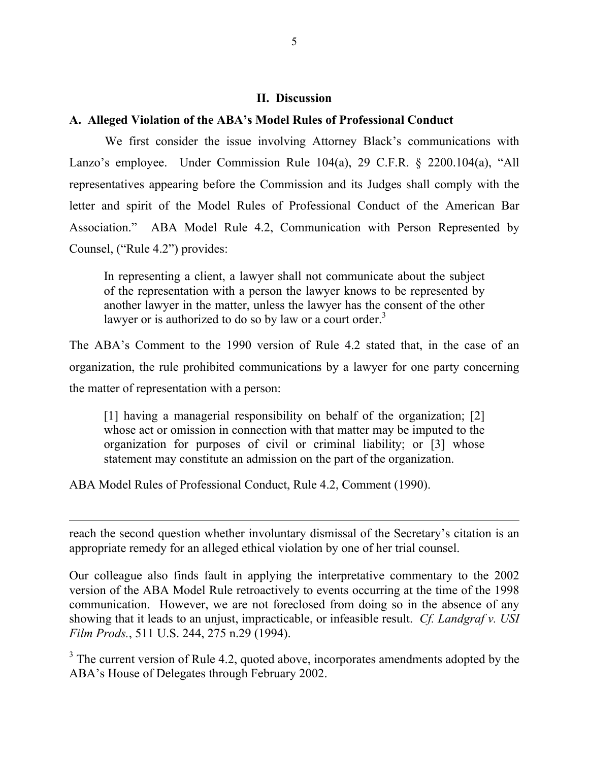## **II. Discussion**

# **A. Alleged Violation of the ABA's Model Rules of Professional Conduct**

We first consider the issue involving Attorney Black's communications with Lanzo's employee. Under Commission Rule 104(a), 29 C.F.R. § 2200.104(a), "All representatives appearing before the Commission and its Judges shall comply with the letter and spirit of the Model Rules of Professional Conduct of the American Bar Association." ABA Model Rule 4.2, Communication with Person Represented by Counsel, ("Rule 4.2") provides:

In representing a client, a lawyer shall not communicate about the subject of the representation with a person the lawyer knows to be represented by another lawyer in the matter, unless the lawyer has the consent of the other lawyer or is authorized to do so by law or a court order.<sup>3</sup>

The ABA's Comment to the 1990 version of Rule 4.2 stated that, in the case of an organization, the rule prohibited communications by a lawyer for one party concerning the matter of representation with a person:

[1] having a managerial responsibility on behalf of the organization; [2] whose act or omission in connection with that matter may be imputed to the organization for purposes of civil or criminal liability; or [3] whose statement may constitute an admission on the part of the organization.

ABA Model Rules of Professional Conduct, Rule 4.2, Comment (1990).

reach the second question whether involuntary dismissal of the Secretary's citation is an appropriate remedy for an alleged ethical violation by one of her trial counsel.

Our colleague also finds fault in applying the interpretative commentary to the 2002 version of the ABA Model Rule retroactively to events occurring at the time of the 1998 communication. However, we are not foreclosed from doing so in the absence of any showing that it leads to an unjust, impracticable, or infeasible result. *Cf. Landgraf v. USI Film Prods.*, 511 U.S. 244, 275 n.29 (1994).

<span id="page-4-0"></span> $3$  The current version of Rule 4.2, quoted above, incorporates amendments adopted by the ABA's House of Delegates through February 2002.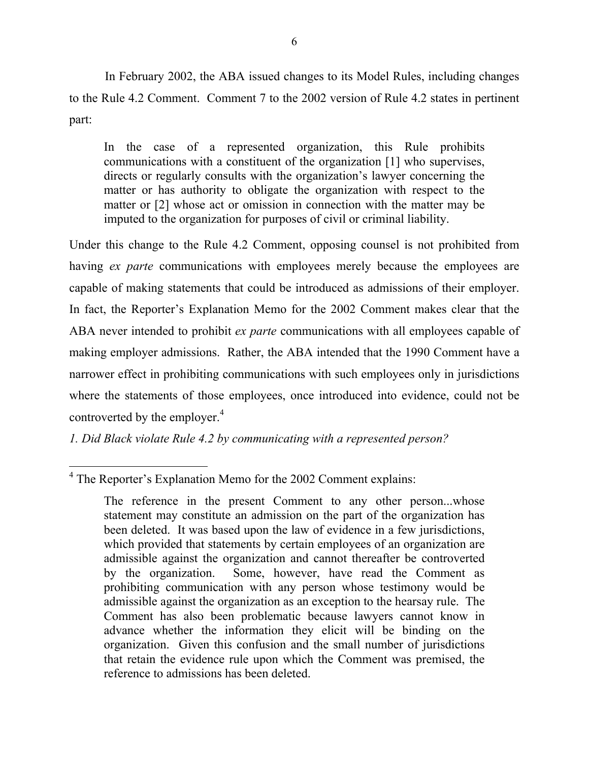In February 2002, the ABA issued changes to its Model Rules, including changes to the Rule 4.2 Comment. Comment 7 to the 2002 version of Rule 4.2 states in pertinent part:

In the case of a represented organization, this Rule prohibits communications with a constituent of the organization [1] who supervises, directs or regularly consults with the organization's lawyer concerning the matter or has authority to obligate the organization with respect to the matter or [2] whose act or omission in connection with the matter may be imputed to the organization for purposes of civil or criminal liability.

Under this change to the Rule 4.2 Comment, opposing counsel is not prohibited from having *ex parte* communications with employees merely because the employees are capable of making statements that could be introduced as admissions of their employer. In fact, the Reporter's Explanation Memo for the 2002 Comment makes clear that the ABA never intended to prohibit *ex parte* communications with all employees capable of making employer admissions. Rather, the ABA intended that the 1990 Comment have a narrower effect in prohibiting communications with such employees only in jurisdictions where the statements of those employees, once introduced into evidence, could not be controverted by the employer.<sup>4</sup>

*1. Did Black violate Rule 4.2 by communicating with a represented person?* 

<span id="page-5-0"></span><sup>&</sup>lt;sup>4</sup> The Reporter's Explanation Memo for the 2002 Comment explains:

The reference in the present Comment to any other person...whose statement may constitute an admission on the part of the organization has been deleted. It was based upon the law of evidence in a few jurisdictions, which provided that statements by certain employees of an organization are admissible against the organization and cannot thereafter be controverted by the organization. Some, however, have read the Comment as prohibiting communication with any person whose testimony would be admissible against the organization as an exception to the hearsay rule. The Comment has also been problematic because lawyers cannot know in advance whether the information they elicit will be binding on the organization. Given this confusion and the small number of jurisdictions that retain the evidence rule upon which the Comment was premised, the reference to admissions has been deleted.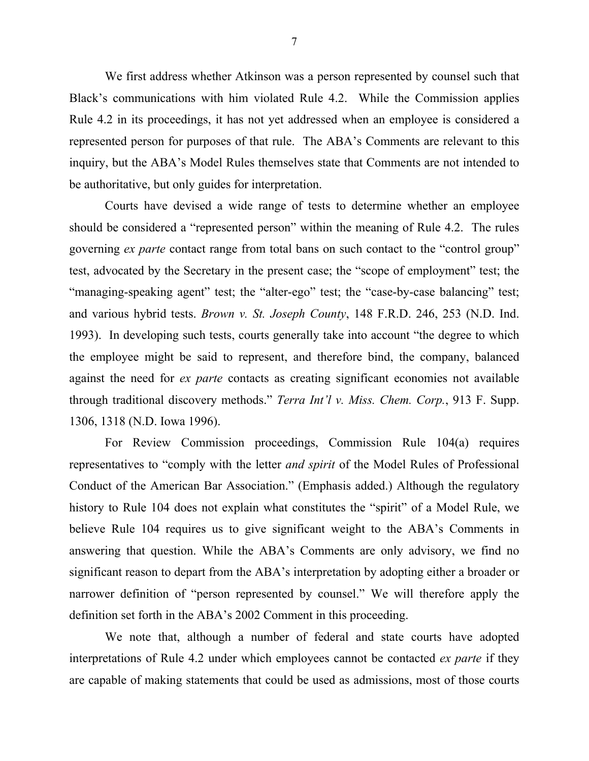We first address whether Atkinson was a person represented by counsel such that Black's communications with him violated Rule 4.2. While the Commission applies Rule 4.2 in its proceedings, it has not yet addressed when an employee is considered a represented person for purposes of that rule. The ABA's Comments are relevant to this inquiry, but the ABA's Model Rules themselves state that Comments are not intended to be authoritative, but only guides for interpretation.

Courts have devised a wide range of tests to determine whether an employee should be considered a "represented person" within the meaning of Rule 4.2. The rules governing *ex parte* contact range from total bans on such contact to the "control group" test, advocated by the Secretary in the present case; the "scope of employment" test; the "managing-speaking agent" test; the "alter-ego" test; the "case-by-case balancing" test; and various hybrid tests. *Brown v. St. Joseph County*, 148 F.R.D. 246, 253 (N.D. Ind. 1993). In developing such tests, courts generally take into account "the degree to which the employee might be said to represent, and therefore bind, the company, balanced against the need for *ex parte* contacts as creating significant economies not available through traditional discovery methods." *Terra Int'l v. Miss. Chem. Corp.*, 913 F. Supp. 1306, 1318 (N.D. Iowa 1996).

For Review Commission proceedings, Commission Rule 104(a) requires representatives to "comply with the letter *and spirit* of the Model Rules of Professional Conduct of the American Bar Association." (Emphasis added.) Although the regulatory history to Rule 104 does not explain what constitutes the "spirit" of a Model Rule, we believe Rule 104 requires us to give significant weight to the ABA's Comments in answering that question. While the ABA's Comments are only advisory, we find no significant reason to depart from the ABA's interpretation by adopting either a broader or narrower definition of "person represented by counsel." We will therefore apply the definition set forth in the ABA's 2002 Comment in this proceeding.

We note that, although a number of federal and state courts have adopted interpretations of Rule 4.2 under which employees cannot be contacted *ex parte* if they are capable of making statements that could be used as admissions, most of those courts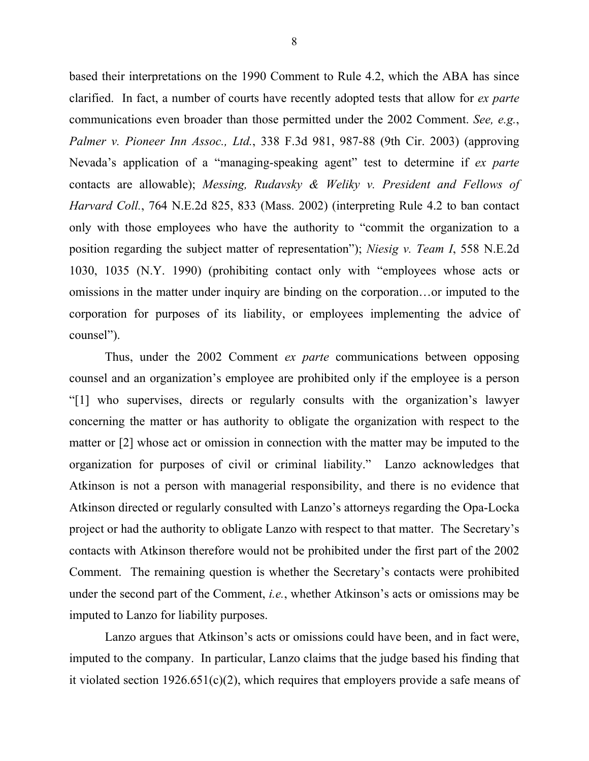based their interpretations on the 1990 Comment to Rule 4.2, which the ABA has since clarified. In fact, a number of courts have recently adopted tests that allow for *ex parte*  communications even broader than those permitted under the 2002 Comment. *See, e.g.*, *Palmer v. Pioneer Inn Assoc., Ltd.*, 338 F.3d 981, 987-88 (9th Cir. 2003) (approving Nevada's application of a "managing-speaking agent" test to determine if *ex parte*  contacts are allowable); *Messing, Rudavsky & Weliky v. President and Fellows of Harvard Coll.*, 764 N.E.2d 825, 833 (Mass. 2002) (interpreting Rule 4.2 to ban contact only with those employees who have the authority to "commit the organization to a position regarding the subject matter of representation"); *Niesig v. Team I*, 558 N.E.2d 1030, 1035 (N.Y. 1990) (prohibiting contact only with "employees whose acts or omissions in the matter under inquiry are binding on the corporation…or imputed to the corporation for purposes of its liability, or employees implementing the advice of counsel").

Thus, under the 2002 Comment *ex parte* communications between opposing counsel and an organization's employee are prohibited only if the employee is a person "[1] who supervises, directs or regularly consults with the organization's lawyer concerning the matter or has authority to obligate the organization with respect to the matter or [2] whose act or omission in connection with the matter may be imputed to the organization for purposes of civil or criminal liability." Lanzo acknowledges that Atkinson is not a person with managerial responsibility, and there is no evidence that Atkinson directed or regularly consulted with Lanzo's attorneys regarding the Opa-Locka project or had the authority to obligate Lanzo with respect to that matter. The Secretary's contacts with Atkinson therefore would not be prohibited under the first part of the 2002 Comment. The remaining question is whether the Secretary's contacts were prohibited under the second part of the Comment, *i.e.*, whether Atkinson's acts or omissions may be imputed to Lanzo for liability purposes.

Lanzo argues that Atkinson's acts or omissions could have been, and in fact were, imputed to the company. In particular, Lanzo claims that the judge based his finding that it violated section  $1926.651(c)(2)$ , which requires that employers provide a safe means of

8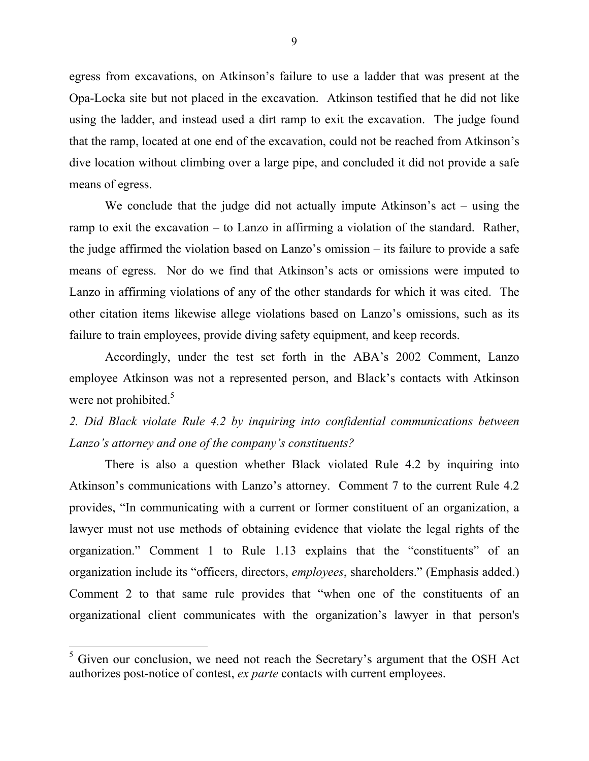egress from excavations, on Atkinson's failure to use a ladder that was present at the Opa-Locka site but not placed in the excavation. Atkinson testified that he did not like using the ladder, and instead used a dirt ramp to exit the excavation. The judge found that the ramp, located at one end of the excavation, could not be reached from Atkinson's dive location without climbing over a large pipe, and concluded it did not provide a safe means of egress.

We conclude that the judge did not actually impute Atkinson's act – using the ramp to exit the excavation – to Lanzo in affirming a violation of the standard. Rather, the judge affirmed the violation based on Lanzo's omission – its failure to provide a safe means of egress. Nor do we find that Atkinson's acts or omissions were imputed to Lanzo in affirming violations of any of the other standards for which it was cited. The other citation items likewise allege violations based on Lanzo's omissions, such as its failure to train employees, provide diving safety equipment, and keep records.

Accordingly, under the test set forth in the ABA's 2002 Comment, Lanzo employee Atkinson was not a represented person, and Black's contacts with Atkinson were not prohibited.<sup>5</sup>

*2. Did Black violate Rule 4.2 by inquiring into confidential communications between Lanzo's attorney and one of the company's constituents?* 

There is also a question whether Black violated Rule 4.2 by inquiring into Atkinson's communications with Lanzo's attorney. Comment 7 to the current Rule 4.2 provides, "In communicating with a current or former constituent of an organization, a lawyer must not use methods of obtaining evidence that violate the legal rights of the organization." Comment 1 to Rule 1.13 explains that the "constituents" of an organization include its "officers, directors, *employees*, shareholders." (Emphasis added.) Comment 2 to that same rule provides that "when one of the constituents of an organizational client communicates with the organization's lawyer in that person's

<span id="page-8-0"></span><sup>&</sup>lt;sup>5</sup> Given our conclusion, we need not reach the Secretary's argument that the OSH Act authorizes post-notice of contest, *ex parte* contacts with current employees.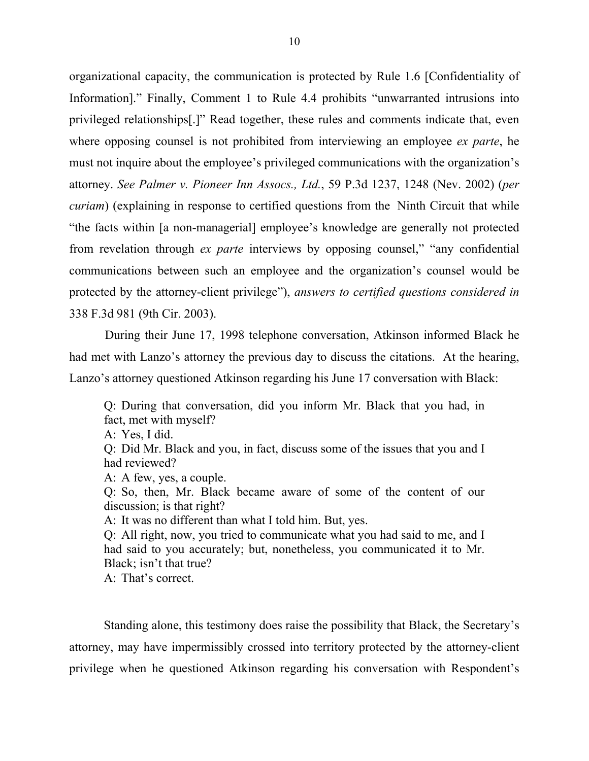organizational capacity, the communication is protected by Rule 1.6 [Confidentiality of Information]." Finally, Comment 1 to Rule 4.4 prohibits "unwarranted intrusions into privileged relationships[.]" Read together, these rules and comments indicate that, even where opposing counsel is not prohibited from interviewing an employee *ex parte*, he must not inquire about the employee's privileged communications with the organization's attorney. *See Palmer v. Pioneer Inn Assocs., Ltd.*, 59 P.3d 1237, 1248 (Nev. 2002) (*per curiam*) (explaining in response to certified questions from the Ninth Circuit that while "the facts within [a non-managerial] employee's knowledge are generally not protected from revelation through *ex parte* interviews by opposing counsel," "any confidential communications between such an employee and the organization's counsel would be protected by the attorney-client privilege"), *answers to certified questions considered in*  338 F.3d 981 (9th Cir. 2003).

During their June 17, 1998 telephone conversation, Atkinson informed Black he had met with Lanzo's attorney the previous day to discuss the citations. At the hearing, Lanzo's attorney questioned Atkinson regarding his June 17 conversation with Black:

Q: During that conversation, did you inform Mr. Black that you had, in fact, met with myself? A: Yes, I did. Q: Did Mr. Black and you, in fact, discuss some of the issues that you and I had reviewed? A: A few, yes, a couple. Q: So, then, Mr. Black became aware of some of the content of our discussion; is that right? A: It was no different than what I told him. But, yes. Q: All right, now, you tried to communicate what you had said to me, and I had said to you accurately; but, nonetheless, you communicated it to Mr. Black; isn't that true? A: That's correct.

Standing alone, this testimony does raise the possibility that Black, the Secretary's attorney, may have impermissibly crossed into territory protected by the attorney-client privilege when he questioned Atkinson regarding his conversation with Respondent's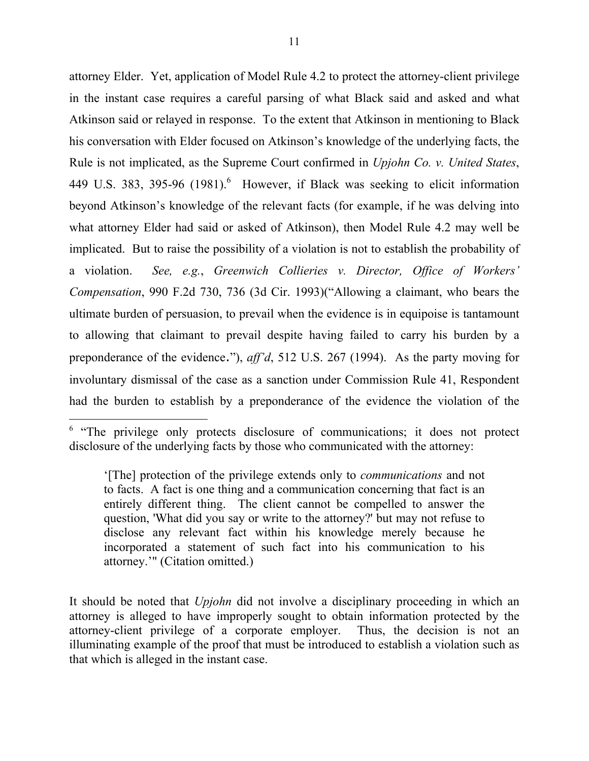attorney Elder. Yet, application of Model Rule 4.2 to protect the attorney-client privilege in the instant case requires a careful parsing of what Black said and asked and what Atkinson said or relayed in response. To the extent that Atkinson in mentioning to Black his conversation with Elder focused on Atkinson's knowledge of the underlying facts, the Rule is not implicated, as the Supreme Court confirmed in *Upjohn Co. v. United States*, 449 U.S. 383, 395-9[6](#page-10-0)  $(1981)$ <sup>6</sup> However, if Black was seeking to elicit information beyond Atkinson's knowledge of the relevant facts (for example, if he was delving into what attorney Elder had said or asked of Atkinson), then Model Rule 4.2 may well be implicated. But to raise the possibility of a violation is not to establish the probability of a violation. *See, e.g.*, *Greenwich Collieries v. Director, Office of Workers' Compensation*, 990 F.2d 730, 736 (3d Cir. 1993)("Allowing a claimant, who bears the ultimate burden of persuasion, to prevail when the evidence is in equipoise is tantamount to allowing that claimant to prevail despite having failed to carry his burden by a preponderance of the evidence."), *aff'd*, 512 U.S. 267 (1994). As the party moving for involuntary dismissal of the case as a sanction under Commission Rule 41, Respondent had the burden to establish by a preponderance of the evidence the violation of the

<span id="page-10-0"></span> $6$  "The privilege only protects disclosure of communications; it does not protect disclosure of the underlying facts by those who communicated with the attorney:

<sup>&#</sup>x27;[The] protection of the privilege extends only to *communications* and not to facts. A fact is one thing and a communication concerning that fact is an entirely different thing. The client cannot be compelled to answer the question, 'What did you say or write to the attorney?' but may not refuse to disclose any relevant fact within his knowledge merely because he incorporated a statement of such fact into his communication to his attorney.'" (Citation omitted.)

It should be noted that *Upjohn* did not involve a disciplinary proceeding in which an attorney is alleged to have improperly sought to obtain information protected by the attorney-client privilege of a corporate employer. Thus, the decision is not an illuminating example of the proof that must be introduced to establish a violation such as that which is alleged in the instant case.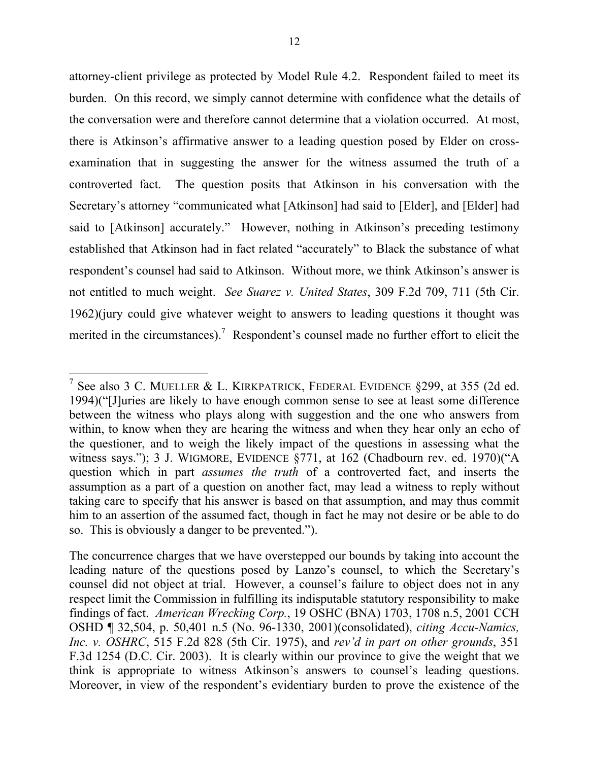<span id="page-11-0"></span>attorney-client privilege as protected by Model Rule 4.2. Respondent failed to meet its burden. On this record, we simply cannot determine with confidence what the details of the conversation were and therefore cannot determine that a violation occurred. At most, there is Atkinson's affirmative answer to a leading question posed by Elder on crossexamination that in suggesting the answer for the witness assumed the truth of a controverted fact. The question posits that Atkinson in his conversation with the Secretary's attorney "communicated what [Atkinson] had said to [Elder], and [Elder] had said to [Atkinson] accurately." However, nothing in Atkinson's preceding testimony established that Atkinson had in fact related "accurately" to Black the substance of what respondent's counsel had said to Atkinson. Without more, we think Atkinson's answer is not entitled to much weight. *See Suarez v. United States*, 309 F.2d 709, 711 (5th Cir. 1962)(jury could give whatever weight to answers to leading questions it thought was merited in the circumstances).<sup>7</sup> Respondent's counsel made no further effort to elicit the

<sup>&</sup>lt;sup>7</sup> See also 3 C. MUELLER & L. KIRKPATRICK, FEDERAL EVIDENCE §299, at 355 (2d ed. 1994)("[J]uries are likely to have enough common sense to see at least some difference between the witness who plays along with suggestion and the one who answers from within, to know when they are hearing the witness and when they hear only an echo of the questioner, and to weigh the likely impact of the questions in assessing what the witness says."); 3 J. WIGMORE, EVIDENCE §771, at 162 (Chadbourn rev. ed. 1970)("A question which in part *assumes the truth* of a controverted fact, and inserts the assumption as a part of a question on another fact, may lead a witness to reply without taking care to specify that his answer is based on that assumption, and may thus commit him to an assertion of the assumed fact, though in fact he may not desire or be able to do so. This is obviously a danger to be prevented.").

The concurrence charges that we have overstepped our bounds by taking into account the leading nature of the questions posed by Lanzo's counsel, to which the Secretary's counsel did not object at trial. However, a counsel's failure to object does not in any respect limit the Commission in fulfilling its indisputable statutory responsibility to make findings of fact. *American Wrecking Corp.*, 19 OSHC (BNA) 1703, 1708 n.5, 2001 CCH OSHD ¶ 32,504, p. 50,401 n.5 (No. 96-1330, 2001)(consolidated), *citing Accu-Namics, Inc. v. OSHRC*, 515 F.2d 828 (5th Cir. 1975), and *rev'd in part on other grounds*, 351 F.3d 1254 (D.C. Cir. 2003). It is clearly within our province to give the weight that we think is appropriate to witness Atkinson's answers to counsel's leading questions. Moreover, in view of the respondent's evidentiary burden to prove the existence of the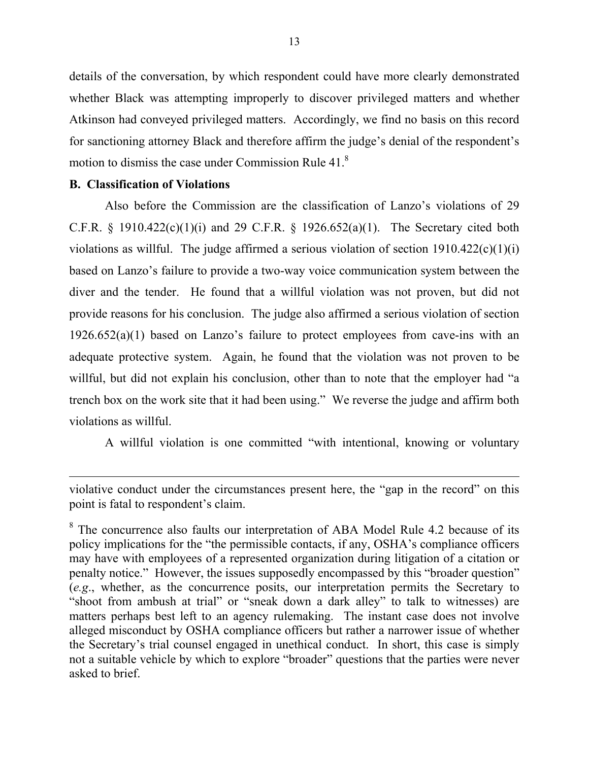details of the conversation, by which respondent could have more clearly demonstrated whether Black was attempting improperly to discover privileged matters and whether Atkinson had conveyed privileged matters. Accordingly, we find no basis on this record for sanctioning attorney Black and therefore affirm the judge's denial of the respondent's motion to dismiss the case under Commission Rule 41.[8](#page-12-0)

## **B. Classification of Violations**

Also before the Commission are the classification of Lanzo's violations of 29 C.F.R. § 1910.422(c)(1)(i) and 29 C.F.R. § 1926.652(a)(1). The Secretary cited both violations as willful. The judge affirmed a serious violation of section  $1910.422(c)(1)(i)$ based on Lanzo's failure to provide a two-way voice communication system between the diver and the tender. He found that a willful violation was not proven, but did not provide reasons for his conclusion. The judge also affirmed a serious violation of section  $1926.652(a)(1)$  based on Lanzo's failure to protect employees from cave-ins with an adequate protective system. Again, he found that the violation was not proven to be willful, but did not explain his conclusion, other than to note that the employer had "a trench box on the work site that it had been using." We reverse the judge and affirm both violations as willful.

A willful violation is one committed "with intentional, knowing or voluntary

violative conduct under the circumstances present here, the "gap in the record" on this point is fatal to respondent's claim.

<span id="page-12-0"></span><sup>&</sup>lt;sup>8</sup> The concurrence also faults our interpretation of ABA Model Rule 4.2 because of its policy implications for the "the permissible contacts, if any, OSHA's compliance officers may have with employees of a represented organization during litigation of a citation or penalty notice." However, the issues supposedly encompassed by this "broader question" (*e.g*., whether, as the concurrence posits, our interpretation permits the Secretary to "shoot from ambush at trial" or "sneak down a dark alley" to talk to witnesses) are matters perhaps best left to an agency rulemaking. The instant case does not involve alleged misconduct by OSHA compliance officers but rather a narrower issue of whether the Secretary's trial counsel engaged in unethical conduct. In short, this case is simply not a suitable vehicle by which to explore "broader" questions that the parties were never asked to brief.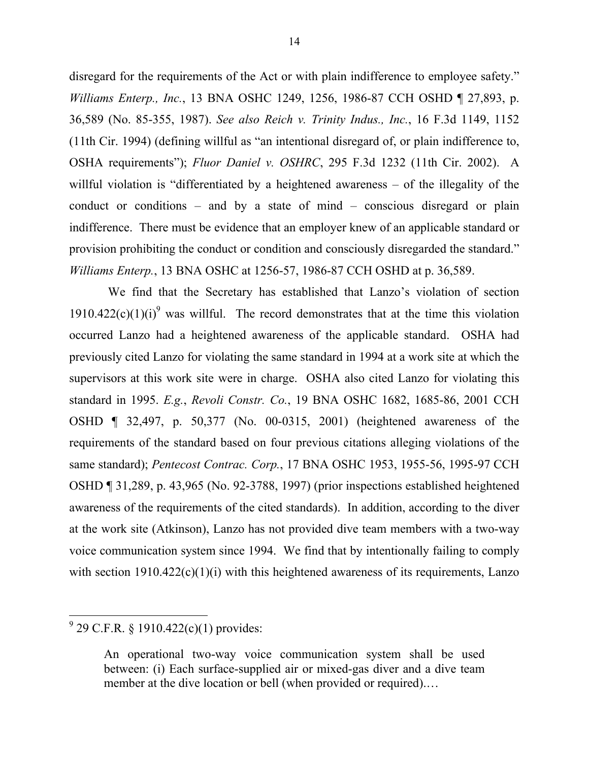disregard for the requirements of the Act or with plain indifference to employee safety." *Williams Enterp., Inc.*, 13 BNA OSHC 1249, 1256, 1986-87 CCH OSHD ¶ 27,893, p. 36,589 (No. 85-355, 1987). *See also Reich v. Trinity Indus., Inc.*, 16 F.3d 1149, 1152 (11th Cir. 1994) (defining willful as "an intentional disregard of, or plain indifference to, OSHA requirements"); *Fluor Daniel v. OSHRC*, 295 F.3d 1232 (11th Cir. 2002). A willful violation is "differentiated by a heightened awareness – of the illegality of the conduct or conditions – and by a state of mind – conscious disregard or plain indifference. There must be evidence that an employer knew of an applicable standard or provision prohibiting the conduct or condition and consciously disregarded the standard." *Williams Enterp.*, 13 BNA OSHC at 1256-57, 1986-87 CCH OSHD at p. 36,589.

We find that the Secretary has established that Lanzo's violation of section 1[9](#page-13-0)10.422 $(c)(1)(i)^9$  was willful. The record demonstrates that at the time this violation occurred Lanzo had a heightened awareness of the applicable standard. OSHA had previously cited Lanzo for violating the same standard in 1994 at a work site at which the supervisors at this work site were in charge. OSHA also cited Lanzo for violating this standard in 1995. *E.g.*, *Revoli Constr. Co.*, 19 BNA OSHC 1682, 1685-86, 2001 CCH OSHD ¶ 32,497, p. 50,377 (No. 00-0315, 2001) (heightened awareness of the requirements of the standard based on four previous citations alleging violations of the same standard); *Pentecost Contrac. Corp.*, 17 BNA OSHC 1953, 1955-56, 1995-97 CCH OSHD ¶ 31,289, p. 43,965 (No. 92-3788, 1997) (prior inspections established heightened awareness of the requirements of the cited standards). In addition, according to the diver at the work site (Atkinson), Lanzo has not provided dive team members with a two-way voice communication system since 1994. We find that by intentionally failing to comply with section  $1910.422(c)(1)(i)$  with this heightened awareness of its requirements, Lanzo

<span id="page-13-0"></span> $9^9$  29 C.F.R. § 1910.422(c)(1) provides:

An operational two-way voice communication system shall be used between: (i) Each surface-supplied air or mixed-gas diver and a dive team member at the dive location or bell (when provided or required)....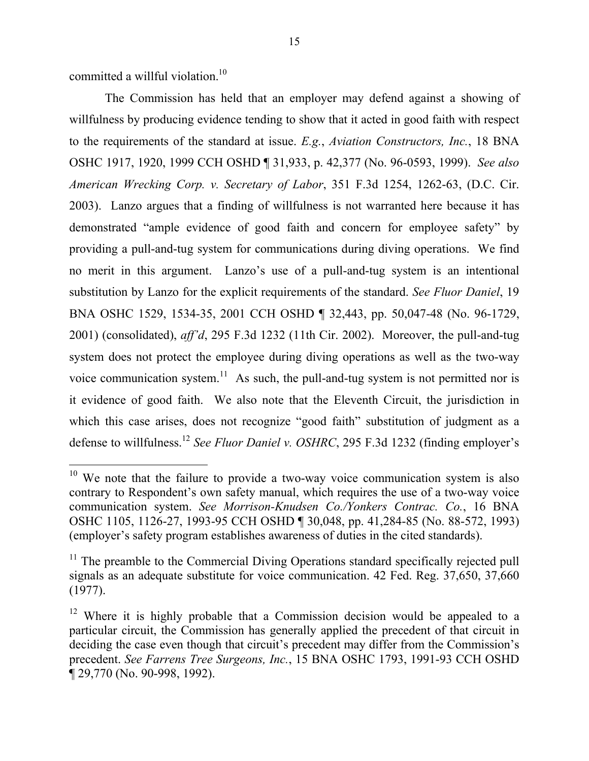committed a willful violation.<sup>10</sup>

The Commission has held that an employer may defend against a showing of willfulness by producing evidence tending to show that it acted in good faith with respect to the requirements of the standard at issue. *E.g.*, *Aviation Constructors, Inc.*, 18 BNA OSHC 1917, 1920, 1999 CCH OSHD ¶ 31,933, p. 42,377 (No. 96-0593, 1999). *See also American Wrecking Corp. v. Secretary of Labor*, 351 F.3d 1254, 1262-63, (D.C. Cir. 2003). Lanzo argues that a finding of willfulness is not warranted here because it has demonstrated "ample evidence of good faith and concern for employee safety" by providing a pull-and-tug system for communications during diving operations. We find no merit in this argument. Lanzo's use of a pull-and-tug system is an intentional substitution by Lanzo for the explicit requirements of the standard. *See Fluor Daniel*, 19 BNA OSHC 1529, 1534-35, 2001 CCH OSHD ¶ 32,443, pp. 50,047-48 (No. 96-1729, 2001) (consolidated), *aff'd*, 295 F.3d 1232 (11th Cir. 2002). Moreover, the pull-and-tug system does not protect the employee during diving operations as well as the two-way voice communication system.<sup>[11](#page-14-1)</sup> As such, the pull-and-tug system is not permitted nor is it evidence of good faith. We also note that the Eleventh Circuit, the jurisdiction in which this case arises, does not recognize "good faith" substitution of judgment as a defense to willfulness.[12](#page-14-2) *See Fluor Daniel v. OSHRC*, 295 F.3d 1232 (finding employer's

<span id="page-14-0"></span> $10$  We note that the failure to provide a two-way voice communication system is also contrary to Respondent's own safety manual, which requires the use of a two-way voice communication system. *See Morrison-Knudsen Co./Yonkers Contrac. Co.*, 16 BNA OSHC 1105, 1126-27, 1993-95 CCH OSHD ¶ 30,048, pp. 41,284-85 (No. 88-572, 1993) (employer's safety program establishes awareness of duties in the cited standards).

<span id="page-14-1"></span><sup>&</sup>lt;sup>11</sup> The preamble to the Commercial Diving Operations standard specifically rejected pull signals as an adequate substitute for voice communication. 42 Fed. Reg. 37,650, 37,660 (1977).

<span id="page-14-2"></span><sup>&</sup>lt;sup>12</sup> Where it is highly probable that a Commission decision would be appealed to a particular circuit, the Commission has generally applied the precedent of that circuit in deciding the case even though that circuit's precedent may differ from the Commission's precedent. *See Farrens Tree Surgeons, Inc.*, 15 BNA OSHC 1793, 1991-93 CCH OSHD ¶ 29,770 (No. 90-998, 1992).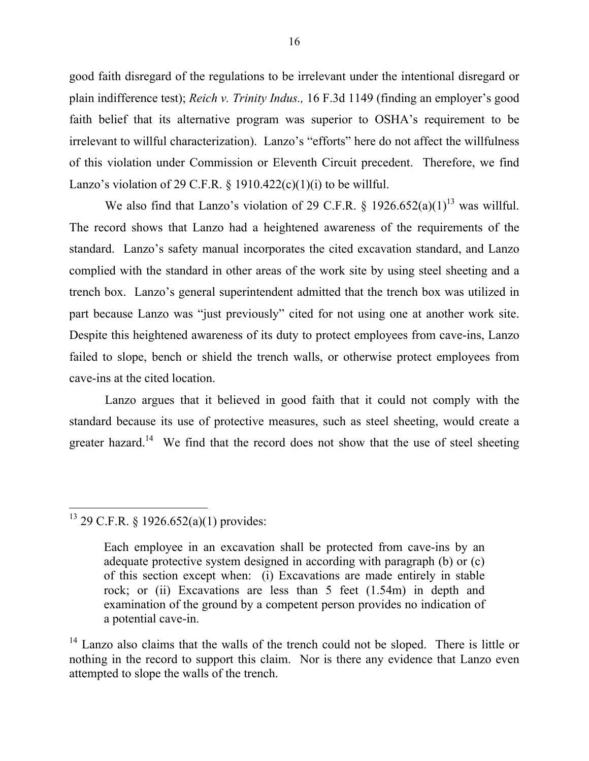good faith disregard of the regulations to be irrelevant under the intentional disregard or plain indifference test); *Reich v. Trinity Indus.,* 16 F.3d 1149 (finding an employer's good faith belief that its alternative program was superior to OSHA's requirement to be irrelevant to willful characterization). Lanzo's "efforts" here do not affect the willfulness of this violation under Commission or Eleventh Circuit precedent. Therefore, we find Lanzo's violation of 29 C.F.R.  $\S$  1910.422(c)(1)(i) to be will ful.

We also find that Lanzo's violation of 29 C.F.R.  $\S$  1926.652(a)(1)<sup>13</sup> was willful. The record shows that Lanzo had a heightened awareness of the requirements of the standard. Lanzo's safety manual incorporates the cited excavation standard, and Lanzo complied with the standard in other areas of the work site by using steel sheeting and a trench box. Lanzo's general superintendent admitted that the trench box was utilized in part because Lanzo was "just previously" cited for not using one at another work site. Despite this heightened awareness of its duty to protect employees from cave-ins, Lanzo failed to slope, bench or shield the trench walls, or otherwise protect employees from cave-ins at the cited location.

Lanzo argues that it believed in good faith that it could not comply with the standard because its use of protective measures, such as steel sheeting, would create a greater hazard.<sup>14</sup> We find that the record does not show that the use of steel sheeting

<span id="page-15-0"></span><sup>13 29</sup> C.F.R. § 1926.652(a)(1) provides:

Each employee in an excavation shall be protected from cave-ins by an adequate protective system designed in according with paragraph (b) or (c) of this section except when: (i) Excavations are made entirely in stable rock; or (ii) Excavations are less than 5 feet (1.54m) in depth and examination of the ground by a competent person provides no indication of a potential cave-in.

<span id="page-15-1"></span><sup>&</sup>lt;sup>14</sup> Lanzo also claims that the walls of the trench could not be sloped. There is little or nothing in the record to support this claim. Nor is there any evidence that Lanzo even attempted to slope the walls of the trench.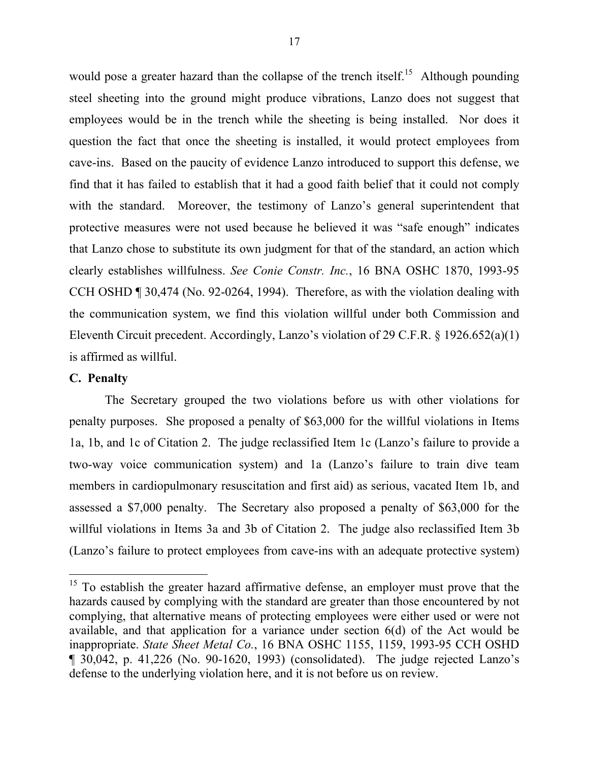would pose a greater hazard than the collapse of the trench itself.<sup>[15](#page-16-0)</sup> Although pounding steel sheeting into the ground might produce vibrations, Lanzo does not suggest that employees would be in the trench while the sheeting is being installed. Nor does it question the fact that once the sheeting is installed, it would protect employees from cave-ins. Based on the paucity of evidence Lanzo introduced to support this defense, we find that it has failed to establish that it had a good faith belief that it could not comply with the standard. Moreover, the testimony of Lanzo's general superintendent that protective measures were not used because he believed it was "safe enough" indicates that Lanzo chose to substitute its own judgment for that of the standard, an action which clearly establishes willfulness. *See Conie Constr. Inc.*, 16 BNA OSHC 1870, 1993-95 CCH OSHD ¶ 30,474 (No. 92-0264, 1994). Therefore, as with the violation dealing with the communication system, we find this violation willful under both Commission and Eleventh Circuit precedent. Accordingly, Lanzo's violation of 29 C.F.R. § 1926.652(a)(1) is affirmed as willful.

## **C. Penalty**

The Secretary grouped the two violations before us with other violations for penalty purposes. She proposed a penalty of \$63,000 for the willful violations in Items 1a, 1b, and 1c of Citation 2. The judge reclassified Item 1c (Lanzo's failure to provide a two-way voice communication system) and 1a (Lanzo's failure to train dive team members in cardiopulmonary resuscitation and first aid) as serious, vacated Item 1b, and assessed a \$7,000 penalty. The Secretary also proposed a penalty of \$63,000 for the willful violations in Items 3a and 3b of Citation 2. The judge also reclassified Item 3b (Lanzo's failure to protect employees from cave-ins with an adequate protective system)

<span id="page-16-0"></span><sup>&</sup>lt;sup>15</sup> To establish the greater hazard affirmative defense, an employer must prove that the hazards caused by complying with the standard are greater than those encountered by not complying, that alternative means of protecting employees were either used or were not available, and that application for a variance under section 6(d) of the Act would be inappropriate. *State Sheet Metal Co.*, 16 BNA OSHC 1155, 1159, 1993-95 CCH OSHD ¶ 30,042, p. 41,226 (No. 90-1620, 1993) (consolidated). The judge rejected Lanzo's defense to the underlying violation here, and it is not before us on review.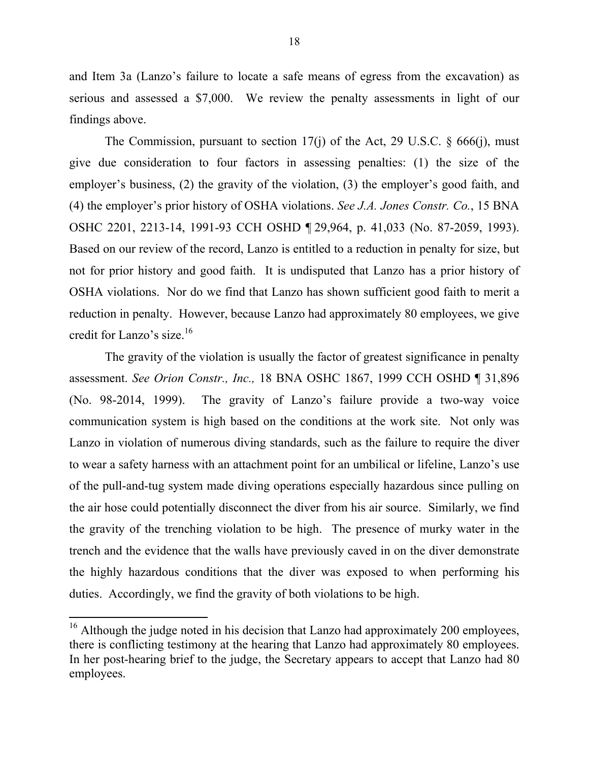and Item 3a (Lanzo's failure to locate a safe means of egress from the excavation) as serious and assessed a \$7,000. We review the penalty assessments in light of our findings above.

The Commission, pursuant to section 17(j) of the Act, 29 U.S.C.  $\S$  666(j), must give due consideration to four factors in assessing penalties: (1) the size of the employer's business, (2) the gravity of the violation, (3) the employer's good faith, and (4) the employer's prior history of OSHA violations. *See J.A. Jones Constr. Co.*, 15 BNA OSHC 2201, 2213-14, 1991-93 CCH OSHD ¶ 29,964, p. 41,033 (No. 87-2059, 1993). Based on our review of the record, Lanzo is entitled to a reduction in penalty for size, but not for prior history and good faith. It is undisputed that Lanzo has a prior history of OSHA violations. Nor do we find that Lanzo has shown sufficient good faith to merit a reduction in penalty. However, because Lanzo had approximately 80 employees, we give credit for Lanzo's size.<sup>16</sup>

The gravity of the violation is usually the factor of greatest significance in penalty assessment. *See Orion Constr., Inc.,* 18 BNA OSHC 1867, 1999 CCH OSHD ¶ 31,896 (No. 98-2014, 1999). The gravity of Lanzo's failure provide a two-way voice communication system is high based on the conditions at the work site. Not only was Lanzo in violation of numerous diving standards, such as the failure to require the diver to wear a safety harness with an attachment point for an umbilical or lifeline, Lanzo's use of the pull-and-tug system made diving operations especially hazardous since pulling on the air hose could potentially disconnect the diver from his air source. Similarly, we find the gravity of the trenching violation to be high. The presence of murky water in the trench and the evidence that the walls have previously caved in on the diver demonstrate the highly hazardous conditions that the diver was exposed to when performing his duties. Accordingly, we find the gravity of both violations to be high.

<span id="page-17-0"></span><sup>&</sup>lt;sup>16</sup> Although the judge noted in his decision that Lanzo had approximately 200 employees, there is conflicting testimony at the hearing that Lanzo had approximately 80 employees. In her post-hearing brief to the judge, the Secretary appears to accept that Lanzo had 80 employees.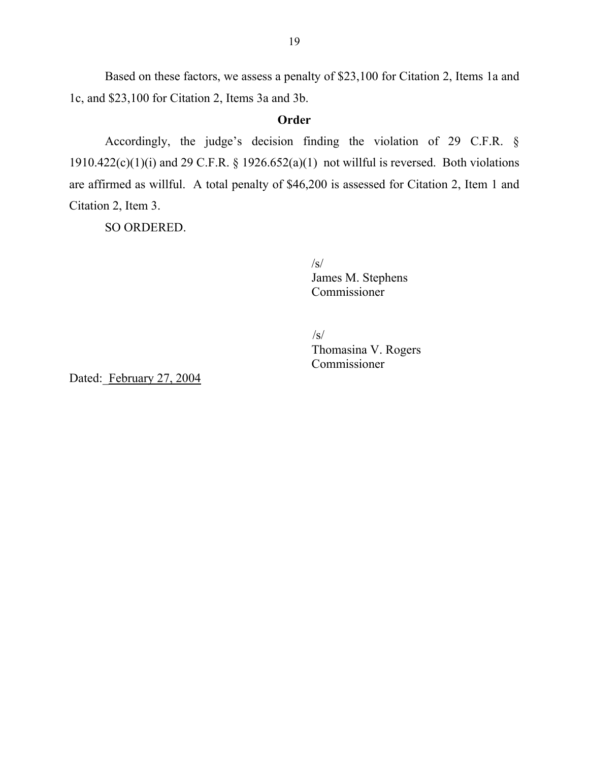Based on these factors, we assess a penalty of \$23,100 for Citation 2, Items 1a and 1c, and \$23,100 for Citation 2, Items 3a and 3b.

# **Order**

Accordingly, the judge's decision finding the violation of 29 C.F.R. § 1910.422(c)(1)(i) and 29 C.F.R. § 1926.652(a)(1) not will ful is reversed. Both violations are affirmed as willful. A total penalty of \$46,200 is assessed for Citation 2, Item 1 and Citation 2, Item 3.

SO ORDERED.

 $\sqrt{s}$ James M. Stephens Commissioner

/s/ Thomasina V. Rogers Commissioner

Dated: February 27, 2004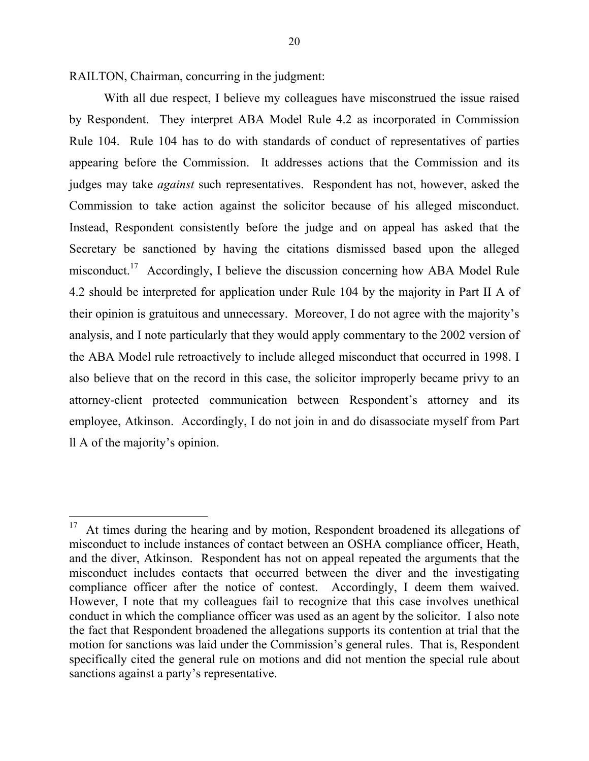RAILTON, Chairman, concurring in the judgment:

With all due respect, I believe my colleagues have misconstrued the issue raised by Respondent. They interpret ABA Model Rule 4.2 as incorporated in Commission Rule 104. Rule 104 has to do with standards of conduct of representatives of parties appearing before the Commission. It addresses actions that the Commission and its judges may take *against* such representatives. Respondent has not, however, asked the Commission to take action against the solicitor because of his alleged misconduct. Instead, Respondent consistently before the judge and on appeal has asked that the Secretary be sanctioned by having the citations dismissed based upon the alleged misconduct.<sup>[17](#page-19-0)</sup> Accordingly, I believe the discussion concerning how ABA Model Rule 4.2 should be interpreted for application under Rule 104 by the majority in Part II A of their opinion is gratuitous and unnecessary. Moreover, I do not agree with the majority's analysis, and I note particularly that they would apply commentary to the 2002 version of the ABA Model rule retroactively to include alleged misconduct that occurred in 1998. I also believe that on the record in this case, the solicitor improperly became privy to an attorney-client protected communication between Respondent's attorney and its employee, Atkinson. Accordingly, I do not join in and do disassociate myself from Part ll A of the majority's opinion.

<span id="page-19-0"></span> $17$  At times during the hearing and by motion, Respondent broadened its allegations of misconduct to include instances of contact between an OSHA compliance officer, Heath, and the diver, Atkinson. Respondent has not on appeal repeated the arguments that the misconduct includes contacts that occurred between the diver and the investigating compliance officer after the notice of contest. Accordingly, I deem them waived. However, I note that my colleagues fail to recognize that this case involves unethical conduct in which the compliance officer was used as an agent by the solicitor. I also note the fact that Respondent broadened the allegations supports its contention at trial that the motion for sanctions was laid under the Commission's general rules. That is, Respondent specifically cited the general rule on motions and did not mention the special rule about sanctions against a party's representative.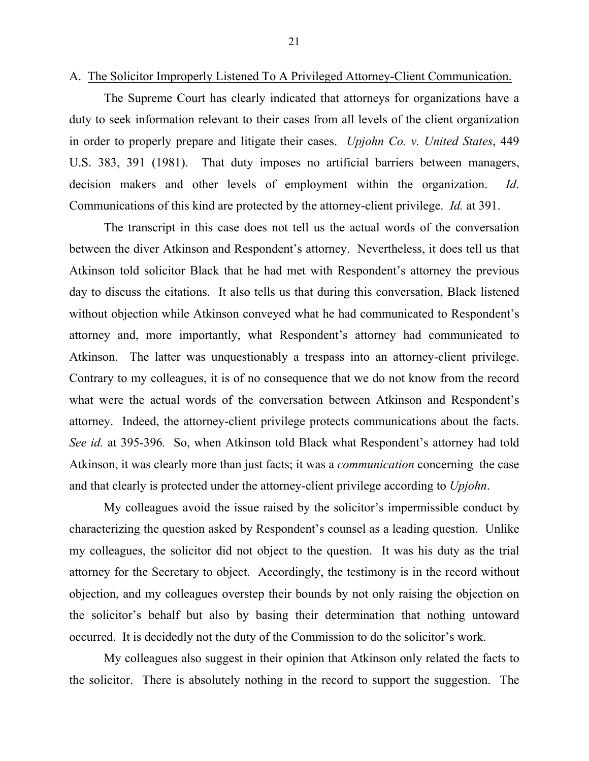A. The Solicitor Improperly Listened To A Privileged Attorney-Client Communication.

The Supreme Court has clearly indicated that attorneys for organizations have a duty to seek information relevant to their cases from all levels of the client organization in order to properly prepare and litigate their cases. *Upjohn Co. v. United States*, 449 U.S. 383, 391 (1981). That duty imposes no artificial barriers between managers, decision makers and other levels of employment within the organization. *Id*. Communications of this kind are protected by the attorney-client privilege. *Id.* at 391.

The transcript in this case does not tell us the actual words of the conversation between the diver Atkinson and Respondent's attorney. Nevertheless, it does tell us that Atkinson told solicitor Black that he had met with Respondent's attorney the previous day to discuss the citations. It also tells us that during this conversation, Black listened without objection while Atkinson conveyed what he had communicated to Respondent's attorney and, more importantly, what Respondent's attorney had communicated to Atkinson. The latter was unquestionably a trespass into an attorney-client privilege. Contrary to my colleagues, it is of no consequence that we do not know from the record what were the actual words of the conversation between Atkinson and Respondent's attorney. Indeed, the attorney-client privilege protects communications about the facts. *See id.* at 395-396*.* So, when Atkinson told Black what Respondent's attorney had told Atkinson, it was clearly more than just facts; it was a *communication* concerning the case and that clearly is protected under the attorney-client privilege according to *Upjohn*.

My colleagues avoid the issue raised by the solicitor's impermissible conduct by characterizing the question asked by Respondent's counsel as a leading question. Unlike my colleagues, the solicitor did not object to the question. It was his duty as the trial attorney for the Secretary to object. Accordingly, the testimony is in the record without objection, and my colleagues overstep their bounds by not only raising the objection on the solicitor's behalf but also by basing their determination that nothing untoward occurred. It is decidedly not the duty of the Commission to do the solicitor's work.

My colleagues also suggest in their opinion that Atkinson only related the facts to the solicitor. There is absolutely nothing in the record to support the suggestion. The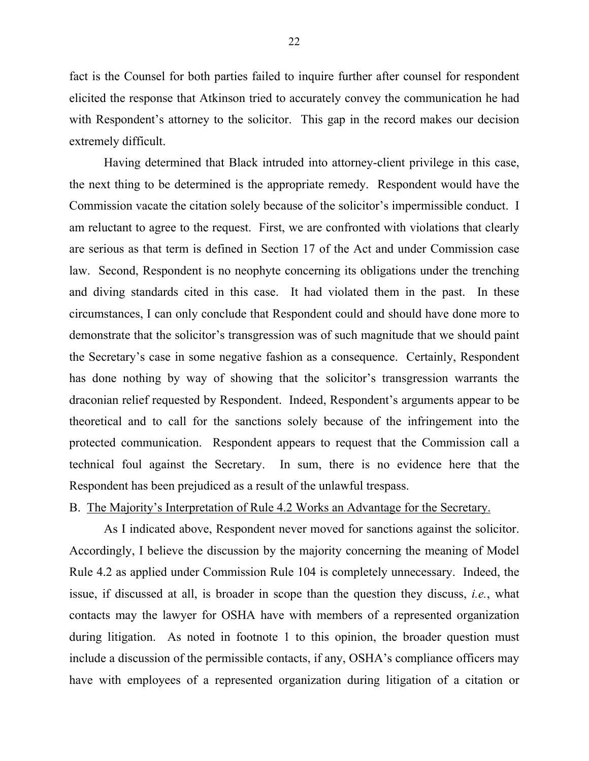fact is the Counsel for both parties failed to inquire further after counsel for respondent elicited the response that Atkinson tried to accurately convey the communication he had with Respondent's attorney to the solicitor. This gap in the record makes our decision extremely difficult.

Having determined that Black intruded into attorney-client privilege in this case, the next thing to be determined is the appropriate remedy. Respondent would have the Commission vacate the citation solely because of the solicitor's impermissible conduct. I am reluctant to agree to the request. First, we are confronted with violations that clearly are serious as that term is defined in Section 17 of the Act and under Commission case law. Second, Respondent is no neophyte concerning its obligations under the trenching and diving standards cited in this case. It had violated them in the past. In these circumstances, I can only conclude that Respondent could and should have done more to demonstrate that the solicitor's transgression was of such magnitude that we should paint the Secretary's case in some negative fashion as a consequence. Certainly, Respondent has done nothing by way of showing that the solicitor's transgression warrants the draconian relief requested by Respondent. Indeed, Respondent's arguments appear to be theoretical and to call for the sanctions solely because of the infringement into the protected communication. Respondent appears to request that the Commission call a technical foul against the Secretary. In sum, there is no evidence here that the Respondent has been prejudiced as a result of the unlawful trespass.

# B. The Majority's Interpretation of Rule 4.2 Works an Advantage for the Secretary.

As I indicated above, Respondent never moved for sanctions against the solicitor. Accordingly, I believe the discussion by the majority concerning the meaning of Model Rule 4.2 as applied under Commission Rule 104 is completely unnecessary. Indeed, the issue, if discussed at all, is broader in scope than the question they discuss, *i.e.*, what contacts may the lawyer for OSHA have with members of a represented organization during litigation. As noted in footnote 1 to this opinion, the broader question must include a discussion of the permissible contacts, if any, OSHA's compliance officers may have with employees of a represented organization during litigation of a citation or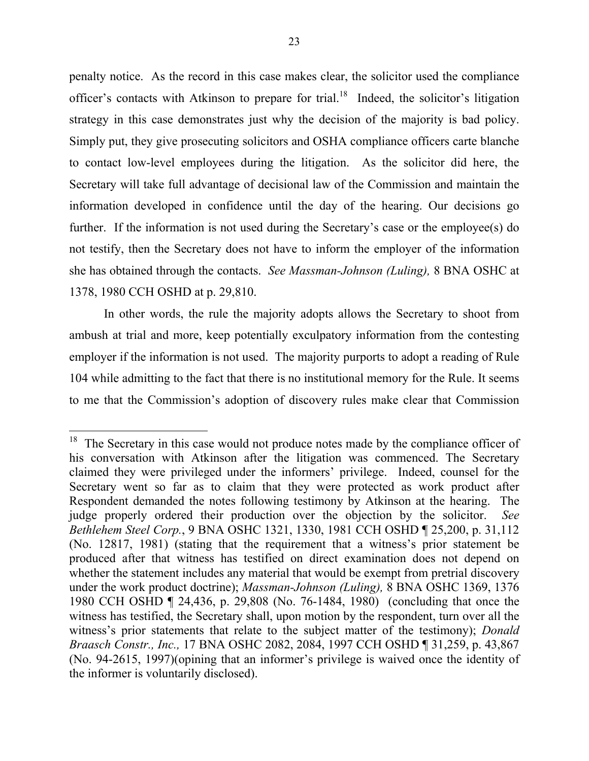penalty notice. As the record in this case makes clear, the solicitor used the compliance officer's contacts with Atkinson to prepare for trial.<sup>[18](#page-22-0)</sup> Indeed, the solicitor's litigation strategy in this case demonstrates just why the decision of the majority is bad policy. Simply put, they give prosecuting solicitors and OSHA compliance officers carte blanche to contact low-level employees during the litigation. As the solicitor did here, the Secretary will take full advantage of decisional law of the Commission and maintain the information developed in confidence until the day of the hearing. Our decisions go further. If the information is not used during the Secretary's case or the employee(s) do not testify, then the Secretary does not have to inform the employer of the information she has obtained through the contacts. *See Massman-Johnson (Luling),* 8 BNA OSHC at 1378, 1980 CCH OSHD at p. 29,810.

In other words, the rule the majority adopts allows the Secretary to shoot from ambush at trial and more, keep potentially exculpatory information from the contesting employer if the information is not used. The majority purports to adopt a reading of Rule 104 while admitting to the fact that there is no institutional memory for the Rule. It seems to me that the Commission's adoption of discovery rules make clear that Commission

<span id="page-22-0"></span><sup>&</sup>lt;sup>18</sup> The Secretary in this case would not produce notes made by the compliance officer of his conversation with Atkinson after the litigation was commenced. The Secretary claimed they were privileged under the informers' privilege. Indeed, counsel for the Secretary went so far as to claim that they were protected as work product after Respondent demanded the notes following testimony by Atkinson at the hearing. The judge properly ordered their production over the objection by the solicitor. *See Bethlehem Steel Corp.*, 9 BNA OSHC 1321, 1330, 1981 CCH OSHD ¶ 25,200, p. 31,112 (No. 12817, 1981) (stating that the requirement that a witness's prior statement be produced after that witness has testified on direct examination does not depend on whether the statement includes any material that would be exempt from pretrial discovery under the work product doctrine); *Massman-Johnson (Luling),* 8 BNA OSHC 1369, 1376 1980 CCH OSHD ¶ 24,436, p. 29,808 (No. 76-1484, 1980) (concluding that once the witness has testified, the Secretary shall, upon motion by the respondent, turn over all the witness's prior statements that relate to the subject matter of the testimony); *Donald Braasch Constr., Inc.,* 17 BNA OSHC 2082, 2084, 1997 CCH OSHD ¶ 31,259, p. 43,867 (No. 94-2615, 1997)(opining that an informer's privilege is waived once the identity of the informer is voluntarily disclosed).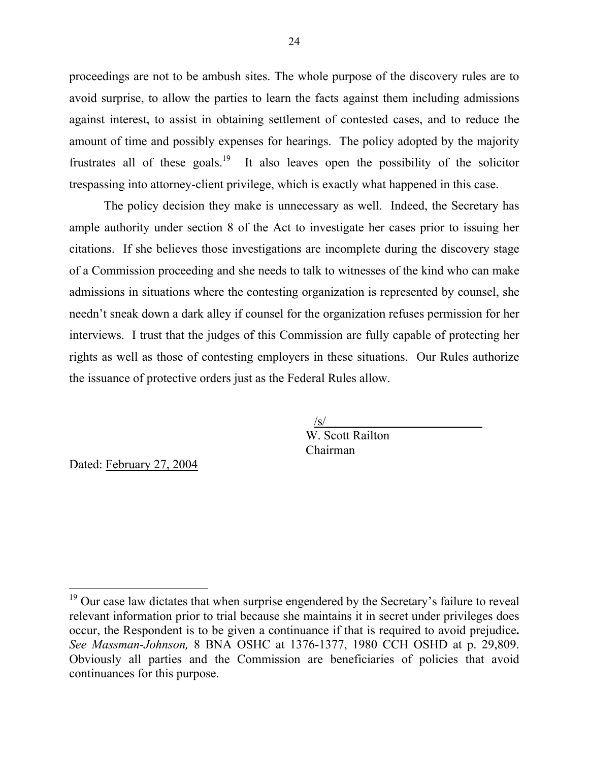proceedings are not to be ambush sites. The whole purpose of the discovery rules are to avoid surprise, to allow the parties to learn the facts against them including admissions against interest, to assist in obtaining settlement of contested cases, and to reduce the amount of time and possibly expenses for hearings. The policy adopted by the majority frustrates all of these goals.<sup>19</sup> It also leaves open the possibility of the solicitor trespassing into attorney-client privilege, which is exactly what happened in this case.

The policy decision they make is unnecessary as well. Indeed, the Secretary has ample authority under section 8 of the Act to investigate her cases prior to issuing her citations. If she believes those investigations are incomplete during the discovery stage of a Commission proceeding and she needs to talk to witnesses of the kind who can make admissions in situations where the contesting organization is represented by counsel, she needn't sneak down a dark alley if counsel for the organization refuses permission for her interviews. I trust that the judges of this Commission are fully capable of protecting her rights as well as those of contesting employers in these situations. Our Rules authorize the issuance of protective orders just as the Federal Rules allow.

> $\sqrt{s}$ / W. Scott Railton Chairman

Dated: February 27, 2004

<span id="page-23-0"></span> $19$  Our case law dictates that when surprise engendered by the Secretary's failure to reveal relevant information prior to trial because she maintains it in secret under privileges does occur, the Respondent is to be given a continuance if that is required to avoid prejudice**.**  *See Massman-Johnson,* 8 BNA OSHC at 1376-1377, 1980 CCH OSHD at p. 29,809. Obviously all parties and the Commission are beneficiaries of policies that avoid continuances for this purpose.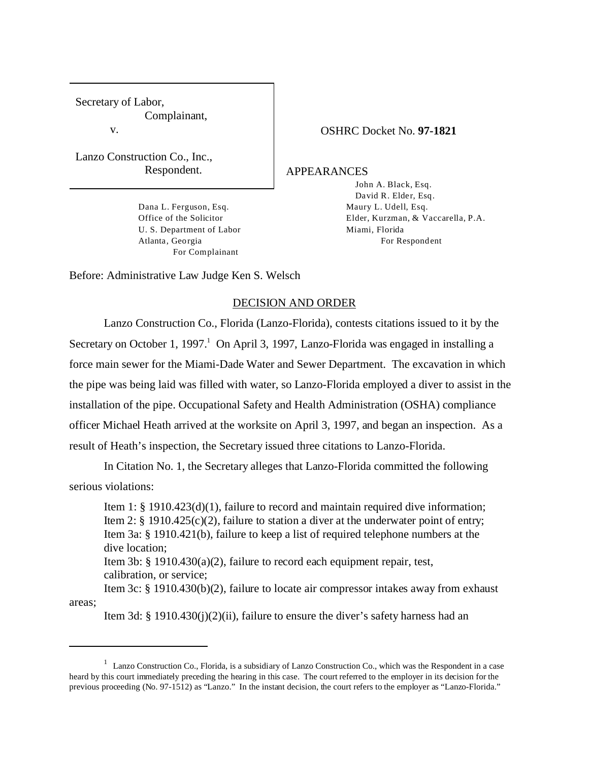Secretary of Labor, Complainant, v.

Lanzo Construction Co., Inc., Respondent.

> Dana L. Ferguson, Esq. Office of the Solicitor U. S. Department of Labor Atlanta, Georgia For Complainant

#### OSHRC Docket No. **97-1821**

APPEARANCES

John A. Black, Esq. David R. Elder, Esq. Maury L. Udell, Esq. Elder, Kurzman, & Vaccarella, P.A. Miami, Florida For Respondent

Before: Administrative Law Judge Ken S. Welsch

### DECISION AND ORDER

Lanzo Construction Co., Florida (Lanzo-Florida), contests citations issued to it by the Secretary on October 1, 1997.<sup>1</sup> On April 3, 1997, Lanzo-Florida was engaged in installing a force main sewer for the Miami-Dade Water and Sewer Department. The excavation in which the pipe was being laid was filled with water, so Lanzo-Florida employed a diver to assist in the installation of the pipe. Occupational Safety and Health Administration (OSHA) compliance officer Michael Heath arrived at the worksite on April 3, 1997, and began an inspection. As a result of Heath's inspection, the Secretary issued three citations to Lanzo-Florida.

In Citation No. 1, the Secretary alleges that Lanzo-Florida committed the following serious violations:

Item 1: § 1910.423(d)(1), failure to record and maintain required dive information; Item 2:  $\S$  1910.425(c)(2), failure to station a diver at the underwater point of entry; Item 3a: § 1910.421(b), failure to keep a list of required telephone numbers at the dive location;

Item 3b: § 1910.430(a)(2), failure to record each equipment repair, test, calibration, or service;

Item 3c: § 1910.430(b)(2), failure to locate air compressor intakes away from exhaust areas;

Item 3d: § 1910.430(j)(2)(ii), failure to ensure the diver's safety harness had an

 $1$  Lanzo Construction Co., Florida, is a subsidiary of Lanzo Construction Co., which was the Respondent in a case heard by this court immediately preceding the hearing in this case. The court referred to the employer in its decision for the previous proceeding (No. 97-1512) as "Lanzo." In the instant decision, the court refers to the employer as "Lanzo-Florida."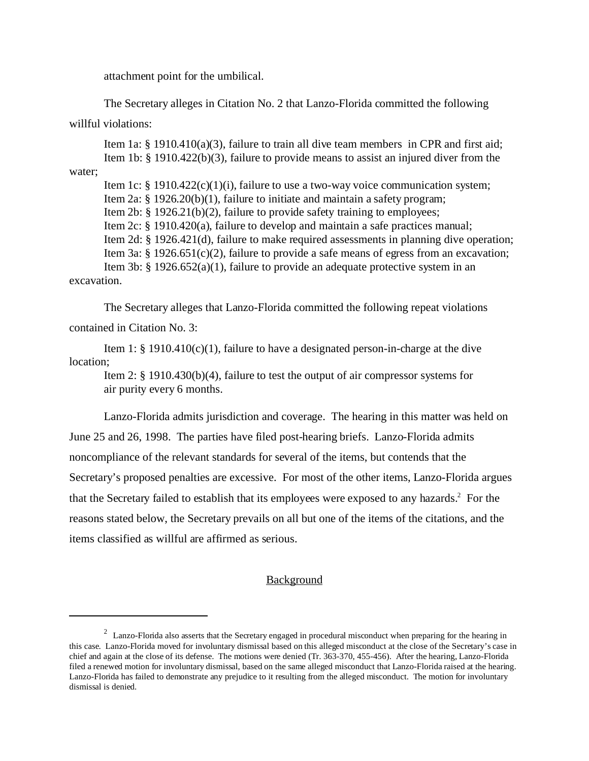attachment point for the umbilical.

The Secretary alleges in Citation No. 2 that Lanzo-Florida committed the following

willful violations:

Item 1a: § 1910.410(a)(3), failure to train all dive team members in CPR and first aid; Item 1b: § 1910.422(b)(3), failure to provide means to assist an injured diver from the water;

Item 1c: § 1910.422(c)(1)(i), failure to use a two-way voice communication system; Item 2a: § 1926.20(b)(1), failure to initiate and maintain a safety program; Item 2b: § 1926.21(b)(2), failure to provide safety training to employees; Item 2c: § 1910.420(a), failure to develop and maintain a safe practices manual; Item 2d: § 1926.421(d), failure to make required assessments in planning dive operation; Item 3a: § 1926.651(c)(2), failure to provide a safe means of egress from an excavation; Item 3b: § 1926.652(a)(1), failure to provide an adequate protective system in an

excavation.

The Secretary alleges that Lanzo-Florida committed the following repeat violations contained in Citation No. 3:

Item 1:  $\S$  1910.410(c)(1), failure to have a designated person-in-charge at the dive location;

Item 2: § 1910.430(b)(4), failure to test the output of air compressor systems for air purity every 6 months.

Lanzo-Florida admits jurisdiction and coverage. The hearing in this matter was held on June 25 and 26, 1998. The parties have filed post-hearing briefs. Lanzo-Florida admits noncompliance of the relevant standards for several of the items, but contends that the Secretary's proposed penalties are excessive. For most of the other items, Lanzo-Florida argues that the Secretary failed to establish that its employees were exposed to any hazards.<sup>2</sup> For the reasons stated below, the Secretary prevails on all but one of the items of the citations, and the items classified as willful are affirmed as serious.

## Background

<sup>&</sup>lt;sup>2</sup> Lanzo-Florida also asserts that the Secretary engaged in procedural misconduct when preparing for the hearing in this case. Lanzo-Florida moved for involuntary dismissal based on this alleged misconduct at the close of the Secretary's case in chief and again at the close of its defense. The motions were denied (Tr. 363-370, 455-456). After the hearing, Lanzo-Florida filed a renewed motion for involuntary dismissal, based on the same alleged misconduct that Lanzo-Florida raised at the hearing. Lanzo-Florida has failed to demonstrate any prejudice to it resulting from the alleged misconduct. The motion for involuntary dismissal is denied.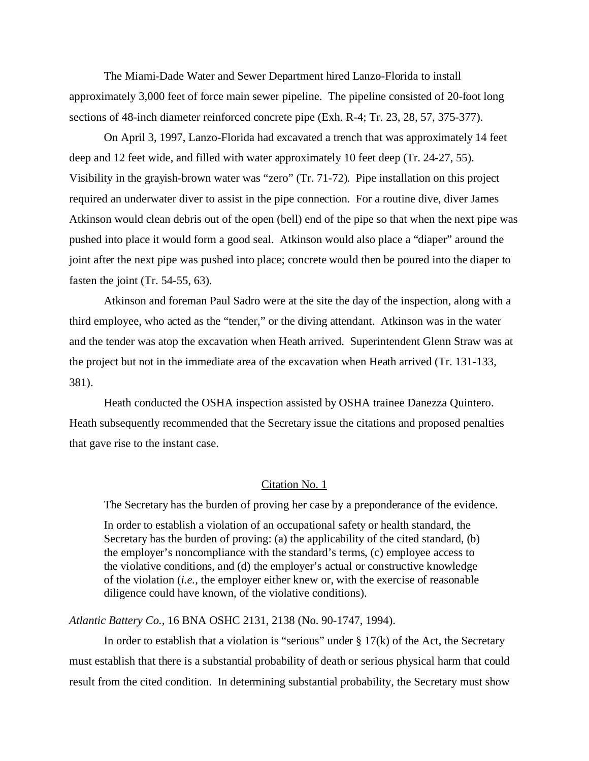The Miami-Dade Water and Sewer Department hired Lanzo-Florida to install approximately 3,000 feet of force main sewer pipeline. The pipeline consisted of 20-foot long sections of 48-inch diameter reinforced concrete pipe (Exh. R-4; Tr. 23, 28, 57, 375-377).

On April 3, 1997, Lanzo-Florida had excavated a trench that was approximately 14 feet deep and 12 feet wide, and filled with water approximately 10 feet deep (Tr. 24-27, 55). Visibility in the grayish-brown water was "zero" (Tr. 71-72). Pipe installation on this project required an underwater diver to assist in the pipe connection. For a routine dive, diver James Atkinson would clean debris out of the open (bell) end of the pipe so that when the next pipe was pushed into place it would form a good seal. Atkinson would also place a "diaper" around the joint after the next pipe was pushed into place; concrete would then be poured into the diaper to fasten the joint (Tr. 54-55, 63).

Atkinson and foreman Paul Sadro were at the site the day of the inspection, along with a third employee, who acted as the "tender," or the diving attendant. Atkinson was in the water and the tender was atop the excavation when Heath arrived. Superintendent Glenn Straw was at the project but not in the immediate area of the excavation when Heath arrived (Tr. 131-133, 381).

Heath conducted the OSHA inspection assisted by OSHA trainee Danezza Quintero. Heath subsequently recommended that the Secretary issue the citations and proposed penalties that gave rise to the instant case.

#### Citation No. 1

The Secretary has the burden of proving her case by a preponderance of the evidence.

In order to establish a violation of an occupational safety or health standard, the Secretary has the burden of proving: (a) the applicability of the cited standard, (b) the employer's noncompliance with the standard's terms, (c) employee access to the violative conditions, and (d) the employer's actual or constructive knowledge of the violation (*i.e.,* the employer either knew or, with the exercise of reasonable diligence could have known, of the violative conditions).

### *Atlantic Battery Co.,* 16 BNA OSHC 2131, 2138 (No. 90-1747, 1994).

In order to establish that a violation is "serious" under  $\S 17(k)$  of the Act, the Secretary must establish that there is a substantial probability of death or serious physical harm that could result from the cited condition. In determining substantial probability, the Secretary must show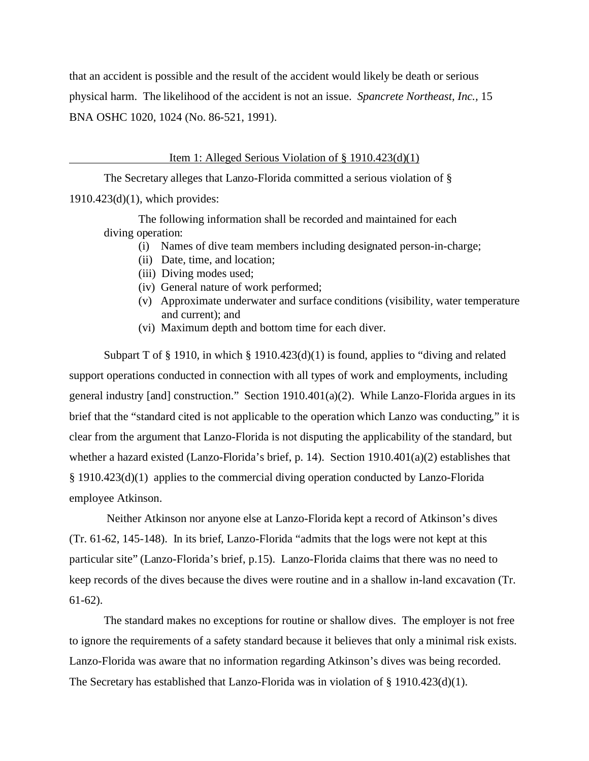that an accident is possible and the result of the accident would likely be death or serious physical harm. The likelihood of the accident is not an issue. *Spancrete Northeast, Inc.,* 15 BNA OSHC 1020, 1024 (No. 86-521, 1991).

#### Item 1: Alleged Serious Violation of § 1910.423(d)(1)

The Secretary alleges that Lanzo-Florida committed a serious violation of § 1910.423(d)(1), which provides:

The following information shall be recorded and maintained for each diving operation:

- (i) Names of dive team members including designated person-in-charge;
- (ii) Date, time, and location;
- (iii) Diving modes used;
- (iv) General nature of work performed;
- (v) Approximate underwater and surface conditions (visibility, water temperature and current); and
- (vi) Maximum depth and bottom time for each diver.

Subpart T of § 1910, in which § 1910.423(d)(1) is found, applies to "diving and related support operations conducted in connection with all types of work and employments, including general industry [and] construction." Section 1910.401(a)(2). While Lanzo-Florida argues in its brief that the "standard cited is not applicable to the operation which Lanzo was conducting," it is clear from the argument that Lanzo-Florida is not disputing the applicability of the standard, but whether a hazard existed (Lanzo-Florida's brief, p. 14). Section 1910.401(a)(2) establishes that § 1910.423(d)(1) applies to the commercial diving operation conducted by Lanzo-Florida employee Atkinson.

Neither Atkinson nor anyone else at Lanzo-Florida kept a record of Atkinson's dives (Tr. 61-62, 145-148). In its brief, Lanzo-Florida "admits that the logs were not kept at this particular site" (Lanzo-Florida's brief, p.15). Lanzo-Florida claims that there was no need to keep records of the dives because the dives were routine and in a shallow in-land excavation (Tr. 61-62).

The standard makes no exceptions for routine or shallow dives. The employer is not free to ignore the requirements of a safety standard because it believes that only a minimal risk exists. Lanzo-Florida was aware that no information regarding Atkinson's dives was being recorded. The Secretary has established that Lanzo-Florida was in violation of § 1910.423(d)(1).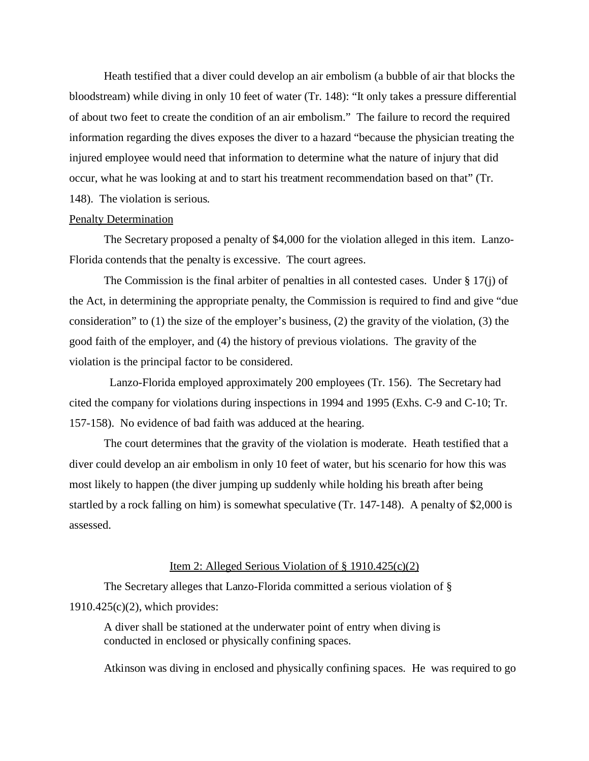Heath testified that a diver could develop an air embolism (a bubble of air that blocks the bloodstream) while diving in only 10 feet of water (Tr. 148): "It only takes a pressure differential of about two feet to create the condition of an air embolism." The failure to record the required information regarding the dives exposes the diver to a hazard "because the physician treating the injured employee would need that information to determine what the nature of injury that did occur, what he was looking at and to start his treatment recommendation based on that" (Tr. 148). The violation is serious.

## Penalty Determination

The Secretary proposed a penalty of \$4,000 for the violation alleged in this item. Lanzo-Florida contends that the penalty is excessive. The court agrees.

The Commission is the final arbiter of penalties in all contested cases. Under § 17(j) of the Act, in determining the appropriate penalty, the Commission is required to find and give "due consideration" to (1) the size of the employer's business, (2) the gravity of the violation, (3) the good faith of the employer, and (4) the history of previous violations. The gravity of the violation is the principal factor to be considered.

Lanzo-Florida employed approximately 200 employees (Tr. 156). The Secretary had cited the company for violations during inspections in 1994 and 1995 (Exhs. C-9 and C-10; Tr. 157-158). No evidence of bad faith was adduced at the hearing.

The court determines that the gravity of the violation is moderate. Heath testified that a diver could develop an air embolism in only 10 feet of water, but his scenario for how this was most likely to happen (the diver jumping up suddenly while holding his breath after being startled by a rock falling on him) is somewhat speculative (Tr. 147-148). A penalty of \$2,000 is assessed.

#### Item 2: Alleged Serious Violation of § 1910.425(c)(2)

The Secretary alleges that Lanzo-Florida committed a serious violation of § 1910.425(c)(2), which provides:

A diver shall be stationed at the underwater point of entry when diving is conducted in enclosed or physically confining spaces.

Atkinson was diving in enclosed and physically confining spaces. He was required to go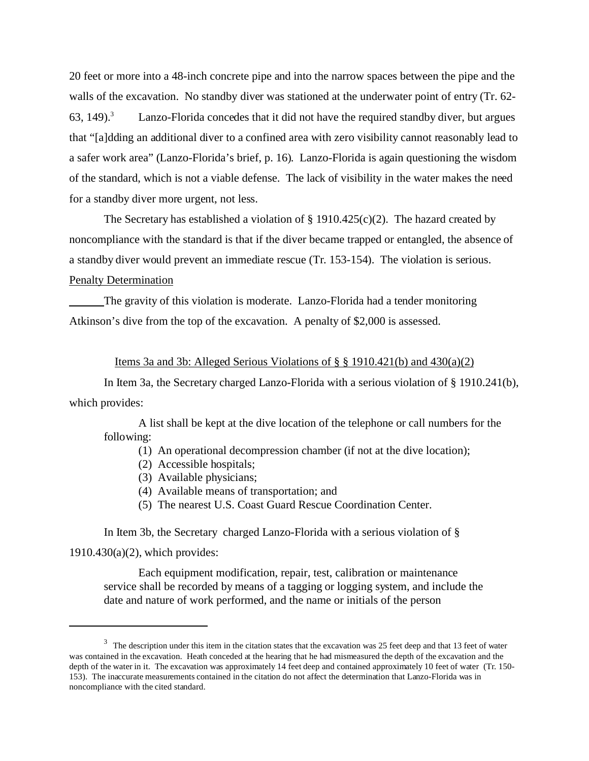20 feet or more into a 48-inch concrete pipe and into the narrow spaces between the pipe and the walls of the excavation. No standby diver was stationed at the underwater point of entry (Tr. 62-  $63, 149$ .<sup>3</sup> Lanzo-Florida concedes that it did not have the required standby diver, but argues that "[a]dding an additional diver to a confined area with zero visibility cannot reasonably lead to a safer work area" (Lanzo-Florida's brief, p. 16). Lanzo-Florida is again questioning the wisdom of the standard, which is not a viable defense. The lack of visibility in the water makes the need for a standby diver more urgent, not less.

The Secretary has established a violation of  $\S$  1910.425(c)(2). The hazard created by noncompliance with the standard is that if the diver became trapped or entangled, the absence of a standby diver would prevent an immediate rescue (Tr. 153-154). The violation is serious. Penalty Determination

The gravity of this violation is moderate. Lanzo-Florida had a tender monitoring Atkinson's dive from the top of the excavation. A penalty of \$2,000 is assessed.

#### Items 3a and 3b: Alleged Serious Violations of  $\S$  § 1910.421(b) and 430(a)(2)

In Item 3a, the Secretary charged Lanzo-Florida with a serious violation of § 1910.241(b), which provides:

A list shall be kept at the dive location of the telephone or call numbers for the following:

(1) An operational decompression chamber (if not at the dive location);

- (2) Accessible hospitals;
- (3) Available physicians;
- (4) Available means of transportation; and
- (5) The nearest U.S. Coast Guard Rescue Coordination Center.

In Item 3b, the Secretary charged Lanzo-Florida with a serious violation of § 1910.430(a)(2), which provides:

Each equipment modification, repair, test, calibration or maintenance service shall be recorded by means of a tagging or logging system, and include the date and nature of work performed, and the name or initials of the person

<sup>&</sup>lt;sup>3</sup> The description under this item in the citation states that the excavation was 25 feet deep and that 13 feet of water was contained in the excavation. Heath conceded at the hearing that he had mismeasured the depth of the excavation and the depth of the water in it. The excavation was approximately 14 feet deep and contained approximately 10 feet of water (Tr. 150- 153). The inaccurate measurements contained in the citation do not affect the determination that Lanzo-Florida was in noncompliance with the cited standard.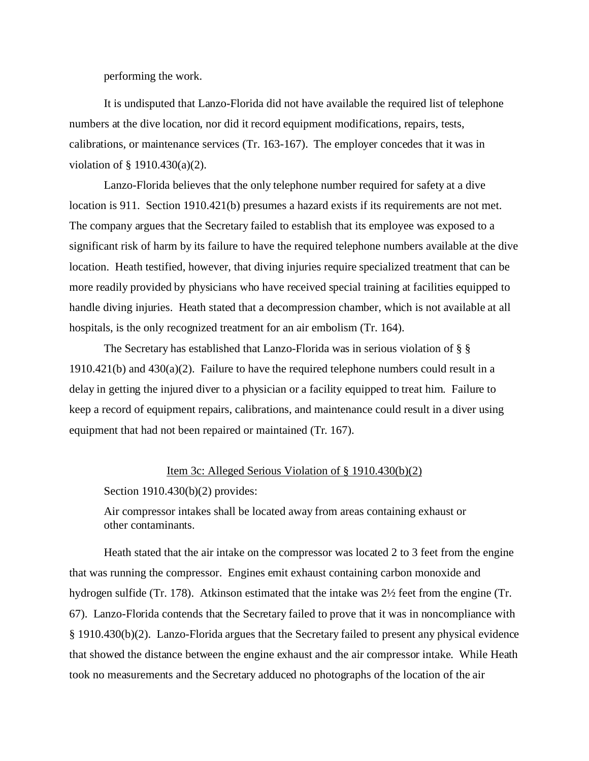performing the work.

It is undisputed that Lanzo-Florida did not have available the required list of telephone numbers at the dive location, nor did it record equipment modifications, repairs, tests, calibrations, or maintenance services (Tr. 163-167). The employer concedes that it was in violation of § 1910.430(a)(2).

Lanzo-Florida believes that the only telephone number required for safety at a dive location is 911. Section 1910.421(b) presumes a hazard exists if its requirements are not met. The company argues that the Secretary failed to establish that its employee was exposed to a significant risk of harm by its failure to have the required telephone numbers available at the dive location. Heath testified, however, that diving injuries require specialized treatment that can be more readily provided by physicians who have received special training at facilities equipped to handle diving injuries. Heath stated that a decompression chamber, which is not available at all hospitals, is the only recognized treatment for an air embolism (Tr. 164).

The Secretary has established that Lanzo-Florida was in serious violation of § §  $1910.421(b)$  and  $430(a)(2)$ . Failure to have the required telephone numbers could result in a delay in getting the injured diver to a physician or a facility equipped to treat him. Failure to keep a record of equipment repairs, calibrations, and maintenance could result in a diver using equipment that had not been repaired or maintained (Tr. 167).

## Item 3c: Alleged Serious Violation of § 1910.430(b)(2)

Section 1910.430(b)(2) provides:

Air compressor intakes shall be located away from areas containing exhaust or other contaminants.

Heath stated that the air intake on the compressor was located 2 to 3 feet from the engine that was running the compressor. Engines emit exhaust containing carbon monoxide and hydrogen sulfide (Tr. 178). Atkinson estimated that the intake was 2½ feet from the engine (Tr. 67). Lanzo-Florida contends that the Secretary failed to prove that it was in noncompliance with § 1910.430(b)(2). Lanzo-Florida argues that the Secretary failed to present any physical evidence that showed the distance between the engine exhaust and the air compressor intake. While Heath took no measurements and the Secretary adduced no photographs of the location of the air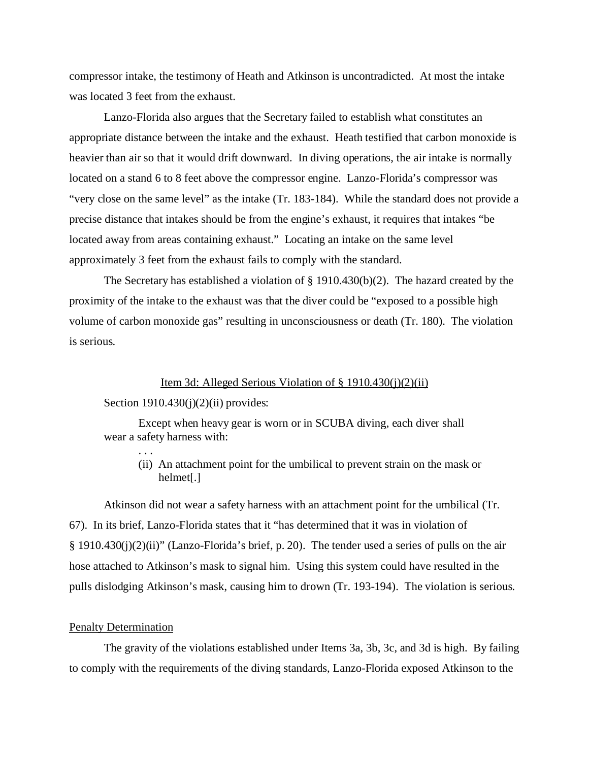compressor intake, the testimony of Heath and Atkinson is uncontradicted. At most the intake was located 3 feet from the exhaust.

Lanzo-Florida also argues that the Secretary failed to establish what constitutes an appropriate distance between the intake and the exhaust. Heath testified that carbon monoxide is heavier than air so that it would drift downward. In diving operations, the air intake is normally located on a stand 6 to 8 feet above the compressor engine. Lanzo-Florida's compressor was "very close on the same level" as the intake (Tr. 183-184). While the standard does not provide a precise distance that intakes should be from the engine's exhaust, it requires that intakes "be located away from areas containing exhaust." Locating an intake on the same level approximately 3 feet from the exhaust fails to comply with the standard.

The Secretary has established a violation of § 1910.430(b)(2). The hazard created by the proximity of the intake to the exhaust was that the diver could be "exposed to a possible high volume of carbon monoxide gas" resulting in unconsciousness or death (Tr. 180). The violation is serious.

## Item 3d: Alleged Serious Violation of § 1910.430(j)(2)(ii)

#### Section  $1910.430(j)(2)(ii)$  provides:

. . .

Except when heavy gear is worn or in SCUBA diving, each diver shall wear a safety harness with:

(ii) An attachment point for the umbilical to prevent strain on the mask or helmet[.]

Atkinson did not wear a safety harness with an attachment point for the umbilical (Tr. 67). In its brief, Lanzo-Florida states that it "has determined that it was in violation of § 1910.430(j)(2)(ii)" (Lanzo-Florida's brief, p. 20). The tender used a series of pulls on the air hose attached to Atkinson's mask to signal him. Using this system could have resulted in the pulls dislodging Atkinson's mask, causing him to drown (Tr. 193-194). The violation is serious.

#### Penalty Determination

The gravity of the violations established under Items 3a, 3b, 3c, and 3d is high. By failing to comply with the requirements of the diving standards, Lanzo-Florida exposed Atkinson to the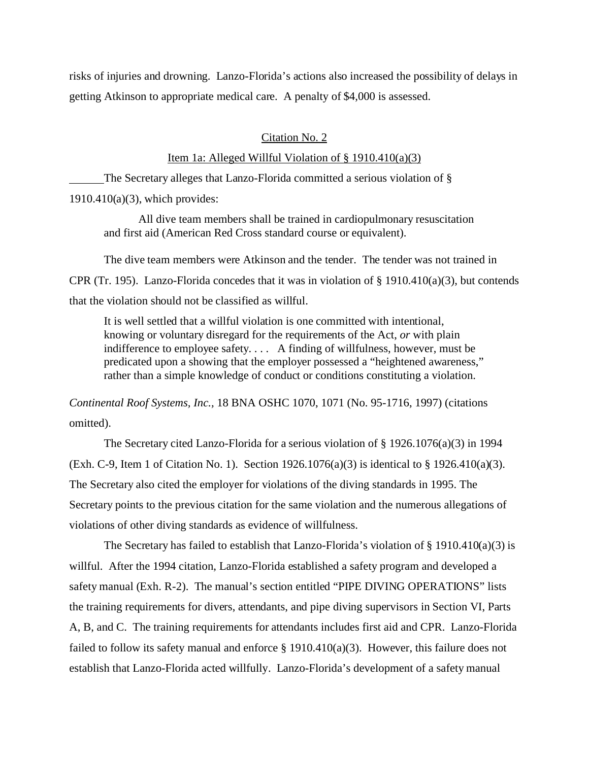risks of injuries and drowning. Lanzo-Florida's actions also increased the possibility of delays in getting Atkinson to appropriate medical care. A penalty of \$4,000 is assessed.

## Citation No. 2

## Item 1a: Alleged Willful Violation of  $\S$  1910.410(a)(3)

The Secretary alleges that Lanzo-Florida committed a serious violation of § 1910.410(a)(3), which provides:

All dive team members shall be trained in cardiopulmonary resuscitation and first aid (American Red Cross standard course or equivalent).

The dive team members were Atkinson and the tender. The tender was not trained in CPR (Tr. 195). Lanzo-Florida concedes that it was in violation of  $\S$  1910.410(a)(3), but contends that the violation should not be classified as willful.

It is well settled that a willful violation is one committed with intentional, knowing or voluntary disregard for the requirements of the Act, *or* with plain indifference to employee safety. . . . A finding of willfulness, however, must be predicated upon a showing that the employer possessed a "heightened awareness," rather than a simple knowledge of conduct or conditions constituting a violation.

*Continental Roof Systems, Inc.,* 18 BNA OSHC 1070, 1071 (No. 95-1716, 1997) (citations omitted).

The Secretary cited Lanzo-Florida for a serious violation of § 1926.1076(a)(3) in 1994 (Exh. C-9, Item 1 of Citation No. 1). Section  $1926.1076(a)(3)$  is identical to § 1926.410(a)(3). The Secretary also cited the employer for violations of the diving standards in 1995. The Secretary points to the previous citation for the same violation and the numerous allegations of violations of other diving standards as evidence of willfulness.

The Secretary has failed to establish that Lanzo-Florida's violation of  $\S$  1910.410(a)(3) is willful. After the 1994 citation, Lanzo-Florida established a safety program and developed a safety manual (Exh. R-2). The manual's section entitled "PIPE DIVING OPERATIONS" lists the training requirements for divers, attendants, and pipe diving supervisors in Section VI, Parts A, B, and C. The training requirements for attendants includes first aid and CPR. Lanzo-Florida failed to follow its safety manual and enforce § 1910.410(a)(3). However, this failure does not establish that Lanzo-Florida acted willfully. Lanzo-Florida's development of a safety manual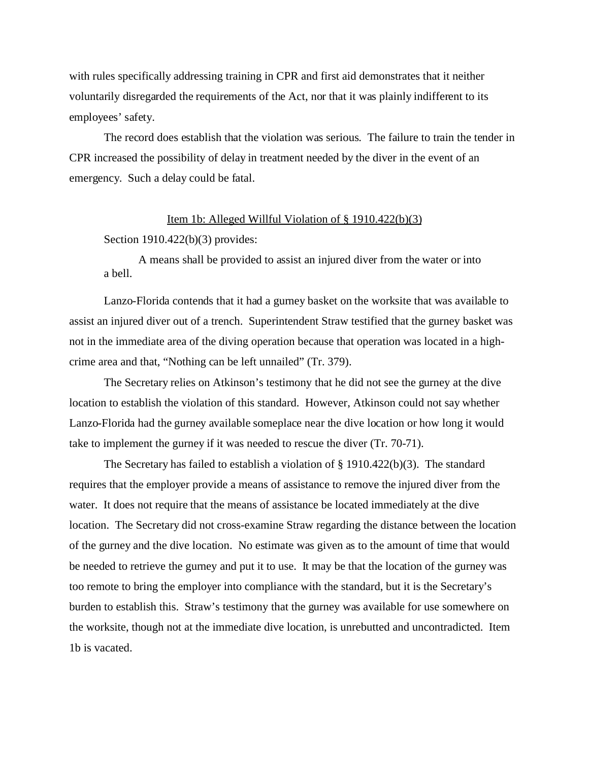with rules specifically addressing training in CPR and first aid demonstrates that it neither voluntarily disregarded the requirements of the Act, nor that it was plainly indifferent to its employees' safety.

The record does establish that the violation was serious. The failure to train the tender in CPR increased the possibility of delay in treatment needed by the diver in the event of an emergency. Such a delay could be fatal.

### Item 1b: Alleged Willful Violation of § 1910.422(b)(3)

#### Section 1910.422(b)(3) provides:

A means shall be provided to assist an injured diver from the water or into a bell.

Lanzo-Florida contends that it had a gurney basket on the worksite that was available to assist an injured diver out of a trench. Superintendent Straw testified that the gurney basket was not in the immediate area of the diving operation because that operation was located in a highcrime area and that, "Nothing can be left unnailed" (Tr. 379).

The Secretary relies on Atkinson's testimony that he did not see the gurney at the dive location to establish the violation of this standard. However, Atkinson could not say whether Lanzo-Florida had the gurney available someplace near the dive location or how long it would take to implement the gurney if it was needed to rescue the diver (Tr. 70-71).

The Secretary has failed to establish a violation of  $\S$  1910.422(b)(3). The standard requires that the employer provide a means of assistance to remove the injured diver from the water. It does not require that the means of assistance be located immediately at the dive location. The Secretary did not cross-examine Straw regarding the distance between the location of the gurney and the dive location. No estimate was given as to the amount of time that would be needed to retrieve the gurney and put it to use. It may be that the location of the gurney was too remote to bring the employer into compliance with the standard, but it is the Secretary's burden to establish this. Straw's testimony that the gurney was available for use somewhere on the worksite, though not at the immediate dive location, is unrebutted and uncontradicted. Item 1b is vacated.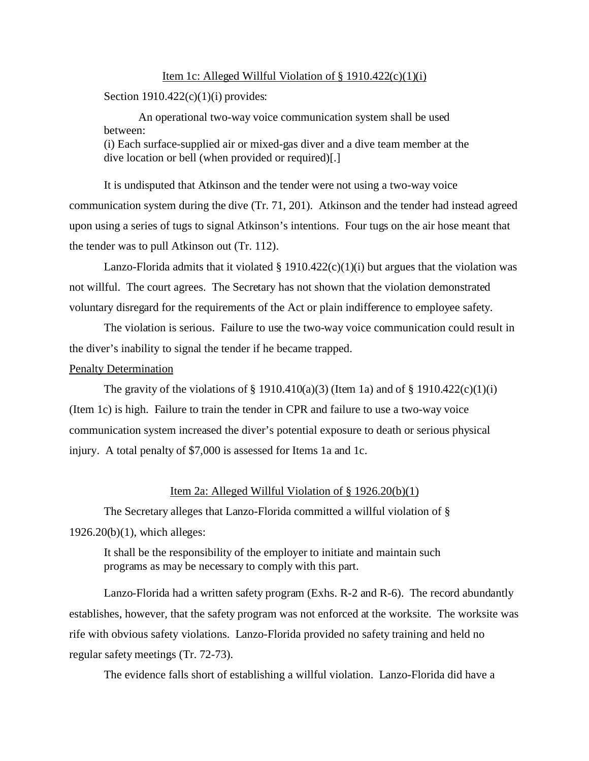#### Item 1c: Alleged Willful Violation of  $\S$  1910.422(c)(1)(i)

Section  $1910.422(c)(1)(i)$  provides:

An operational two-way voice communication system shall be used between: (i) Each surface-supplied air or mixed-gas diver and a dive team member at the dive location or bell (when provided or required)[.]

It is undisputed that Atkinson and the tender were not using a two-way voice communication system during the dive (Tr. 71, 201). Atkinson and the tender had instead agreed upon using a series of tugs to signal Atkinson's intentions. Four tugs on the air hose meant that the tender was to pull Atkinson out (Tr. 112).

Lanzo-Florida admits that it violated  $\S$  1910.422(c)(1)(i) but argues that the violation was not willful. The court agrees. The Secretary has not shown that the violation demonstrated voluntary disregard for the requirements of the Act or plain indifference to employee safety.

The violation is serious. Failure to use the two-way voice communication could result in the diver's inability to signal the tender if he became trapped.

## Penalty Determination

The gravity of the violations of  $\S$  1910.410(a)(3) (Item 1a) and of  $\S$  1910.422(c)(1)(i) (Item 1c) is high. Failure to train the tender in CPR and failure to use a two-way voice communication system increased the diver's potential exposure to death or serious physical injury. A total penalty of \$7,000 is assessed for Items 1a and 1c.

## Item 2a: Alleged Willful Violation of § 1926.20(b)(1)

The Secretary alleges that Lanzo-Florida committed a willful violation of § 1926.20(b)(1), which alleges:

It shall be the responsibility of the employer to initiate and maintain such programs as may be necessary to comply with this part.

Lanzo-Florida had a written safety program (Exhs. R-2 and R-6). The record abundantly establishes, however, that the safety program was not enforced at the worksite. The worksite was rife with obvious safety violations. Lanzo-Florida provided no safety training and held no regular safety meetings (Tr. 72-73).

The evidence falls short of establishing a willful violation. Lanzo-Florida did have a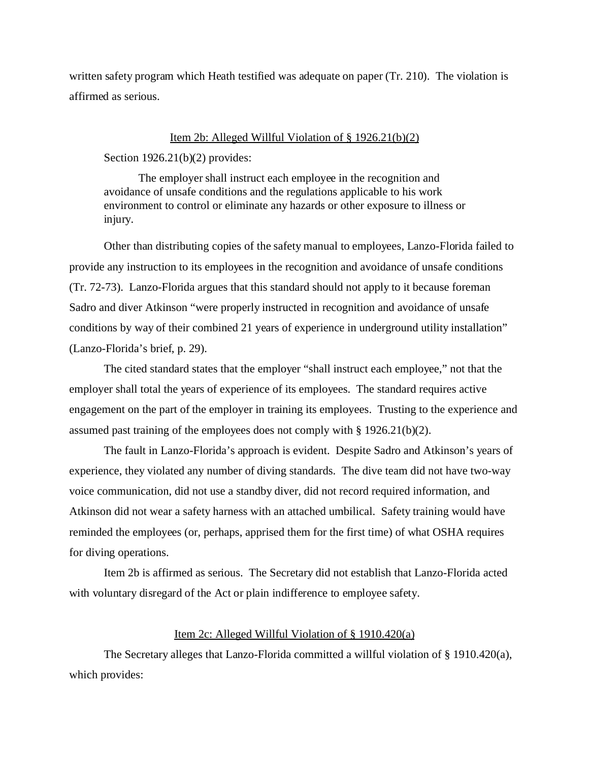written safety program which Heath testified was adequate on paper (Tr. 210). The violation is affirmed as serious.

#### Item 2b: Alleged Willful Violation of § 1926.21(b)(2)

Section 1926.21(b)(2) provides:

The employer shall instruct each employee in the recognition and avoidance of unsafe conditions and the regulations applicable to his work environment to control or eliminate any hazards or other exposure to illness or injury.

Other than distributing copies of the safety manual to employees, Lanzo-Florida failed to provide any instruction to its employees in the recognition and avoidance of unsafe conditions (Tr. 72-73). Lanzo-Florida argues that this standard should not apply to it because foreman Sadro and diver Atkinson "were properly instructed in recognition and avoidance of unsafe conditions by way of their combined 21 years of experience in underground utility installation" (Lanzo-Florida's brief, p. 29).

The cited standard states that the employer "shall instruct each employee," not that the employer shall total the years of experience of its employees. The standard requires active engagement on the part of the employer in training its employees. Trusting to the experience and assumed past training of the employees does not comply with  $\S 1926.21(b)(2)$ .

The fault in Lanzo-Florida's approach is evident. Despite Sadro and Atkinson's years of experience, they violated any number of diving standards. The dive team did not have two-way voice communication, did not use a standby diver, did not record required information, and Atkinson did not wear a safety harness with an attached umbilical. Safety training would have reminded the employees (or, perhaps, apprised them for the first time) of what OSHA requires for diving operations.

Item 2b is affirmed as serious. The Secretary did not establish that Lanzo-Florida acted with voluntary disregard of the Act or plain indifference to employee safety.

## Item 2c: Alleged Willful Violation of § 1910.420(a)

The Secretary alleges that Lanzo-Florida committed a willful violation of § 1910.420(a), which provides: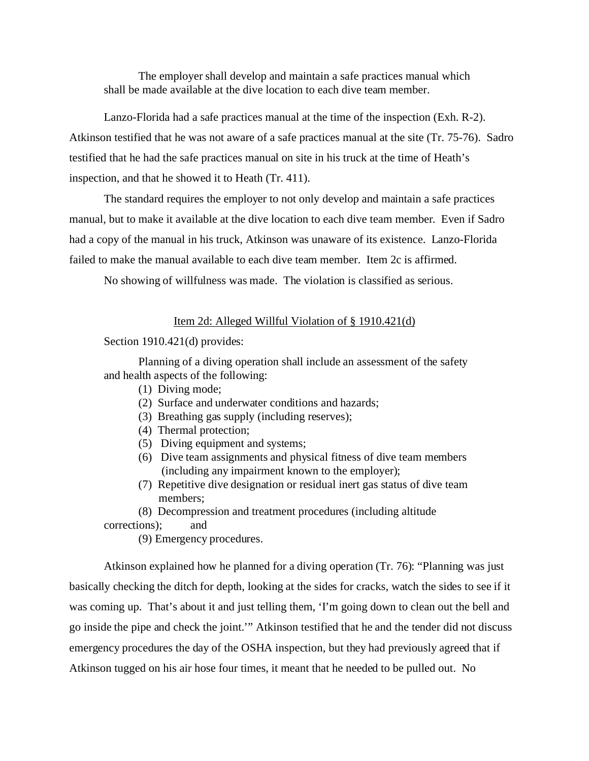The employer shall develop and maintain a safe practices manual which shall be made available at the dive location to each dive team member.

Lanzo-Florida had a safe practices manual at the time of the inspection (Exh. R-2). Atkinson testified that he was not aware of a safe practices manual at the site (Tr. 75-76). Sadro testified that he had the safe practices manual on site in his truck at the time of Heath's inspection, and that he showed it to Heath (Tr. 411).

The standard requires the employer to not only develop and maintain a safe practices manual, but to make it available at the dive location to each dive team member. Even if Sadro had a copy of the manual in his truck, Atkinson was unaware of its existence. Lanzo-Florida failed to make the manual available to each dive team member. Item 2c is affirmed.

No showing of willfulness was made. The violation is classified as serious.

## Item 2d: Alleged Willful Violation of § 1910.421(d)

Section 1910.421(d) provides:

Planning of a diving operation shall include an assessment of the safety and health aspects of the following:

- (1) Diving mode;
- (2) Surface and underwater conditions and hazards;
- (3) Breathing gas supply (including reserves);
- (4) Thermal protection;
- (5) Diving equipment and systems;
- (6) Dive team assignments and physical fitness of dive team members (including any impairment known to the employer);
- (7) Repetitive dive designation or residual inert gas status of dive team members;

(8) Decompression and treatment procedures (including altitude corrections); and

(9) Emergency procedures.

Atkinson explained how he planned for a diving operation (Tr. 76): "Planning was just basically checking the ditch for depth, looking at the sides for cracks, watch the sides to see if it was coming up. That's about it and just telling them, 'I'm going down to clean out the bell and go inside the pipe and check the joint.'" Atkinson testified that he and the tender did not discuss emergency procedures the day of the OSHA inspection, but they had previously agreed that if Atkinson tugged on his air hose four times, it meant that he needed to be pulled out. No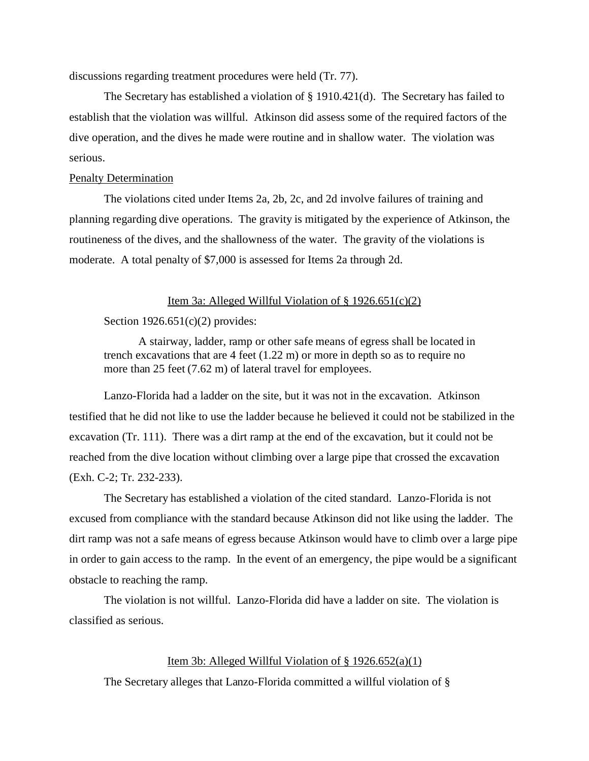discussions regarding treatment procedures were held (Tr. 77).

The Secretary has established a violation of § 1910.421(d). The Secretary has failed to establish that the violation was willful. Atkinson did assess some of the required factors of the dive operation, and the dives he made were routine and in shallow water. The violation was serious.

## Penalty Determination

The violations cited under Items 2a, 2b, 2c, and 2d involve failures of training and planning regarding dive operations. The gravity is mitigated by the experience of Atkinson, the routineness of the dives, and the shallowness of the water. The gravity of the violations is moderate. A total penalty of \$7,000 is assessed for Items 2a through 2d.

## Item 3a: Alleged Willful Violation of  $\S 1926.651(c)(2)$

#### Section  $1926.651(c)(2)$  provides:

A stairway, ladder, ramp or other safe means of egress shall be located in trench excavations that are 4 feet (1.22 m) or more in depth so as to require no more than 25 feet (7.62 m) of lateral travel for employees.

Lanzo-Florida had a ladder on the site, but it was not in the excavation. Atkinson testified that he did not like to use the ladder because he believed it could not be stabilized in the excavation (Tr. 111). There was a dirt ramp at the end of the excavation, but it could not be reached from the dive location without climbing over a large pipe that crossed the excavation (Exh. C-2; Tr. 232-233).

The Secretary has established a violation of the cited standard. Lanzo-Florida is not excused from compliance with the standard because Atkinson did not like using the ladder. The dirt ramp was not a safe means of egress because Atkinson would have to climb over a large pipe in order to gain access to the ramp. In the event of an emergency, the pipe would be a significant obstacle to reaching the ramp.

The violation is not willful. Lanzo-Florida did have a ladder on site. The violation is classified as serious.

## Item 3b: Alleged Willful Violation of  $\S$  1926.652(a)(1)

The Secretary alleges that Lanzo-Florida committed a willful violation of §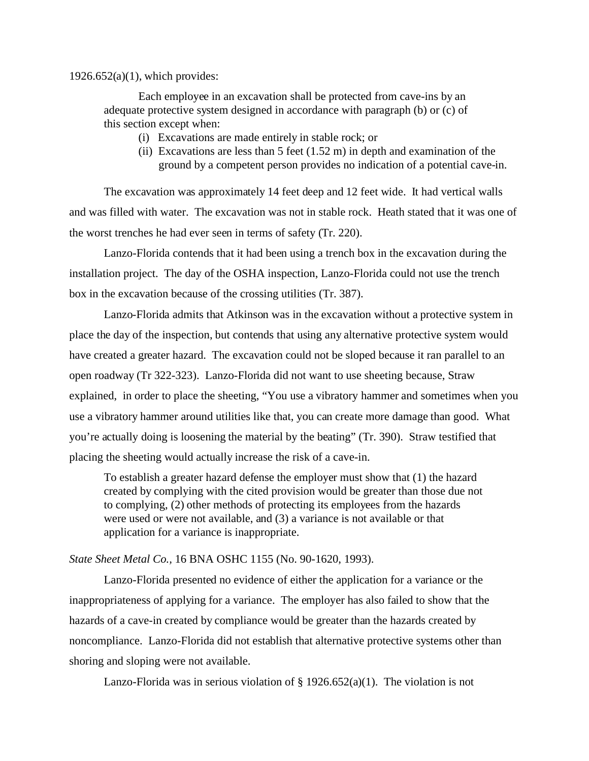$1926.652(a)(1)$ , which provides:

Each employee in an excavation shall be protected from cave-ins by an adequate protective system designed in accordance with paragraph (b) or (c) of this section except when:

- (i) Excavations are made entirely in stable rock; or
- (ii) Excavations are less than 5 feet  $(1.52 \text{ m})$  in depth and examination of the ground by a competent person provides no indication of a potential cave-in.

The excavation was approximately 14 feet deep and 12 feet wide. It had vertical walls and was filled with water. The excavation was not in stable rock. Heath stated that it was one of the worst trenches he had ever seen in terms of safety (Tr. 220).

Lanzo-Florida contends that it had been using a trench box in the excavation during the installation project. The day of the OSHA inspection, Lanzo-Florida could not use the trench box in the excavation because of the crossing utilities (Tr. 387).

Lanzo-Florida admits that Atkinson was in the excavation without a protective system in place the day of the inspection, but contends that using any alternative protective system would have created a greater hazard. The excavation could not be sloped because it ran parallel to an open roadway (Tr 322-323). Lanzo-Florida did not want to use sheeting because, Straw explained, in order to place the sheeting, "You use a vibratory hammer and sometimes when you use a vibratory hammer around utilities like that, you can create more damage than good. What you're actually doing is loosening the material by the beating" (Tr. 390). Straw testified that placing the sheeting would actually increase the risk of a cave-in.

To establish a greater hazard defense the employer must show that (1) the hazard created by complying with the cited provision would be greater than those due not to complying, (2) other methods of protecting its employees from the hazards were used or were not available, and (3) a variance is not available or that application for a variance is inappropriate.

### *State Sheet Metal Co.,* 16 BNA OSHC 1155 (No. 90-1620, 1993).

Lanzo-Florida presented no evidence of either the application for a variance or the inappropriateness of applying for a variance. The employer has also failed to show that the hazards of a cave-in created by compliance would be greater than the hazards created by noncompliance. Lanzo-Florida did not establish that alternative protective systems other than shoring and sloping were not available.

Lanzo-Florida was in serious violation of  $\S 1926.652(a)(1)$ . The violation is not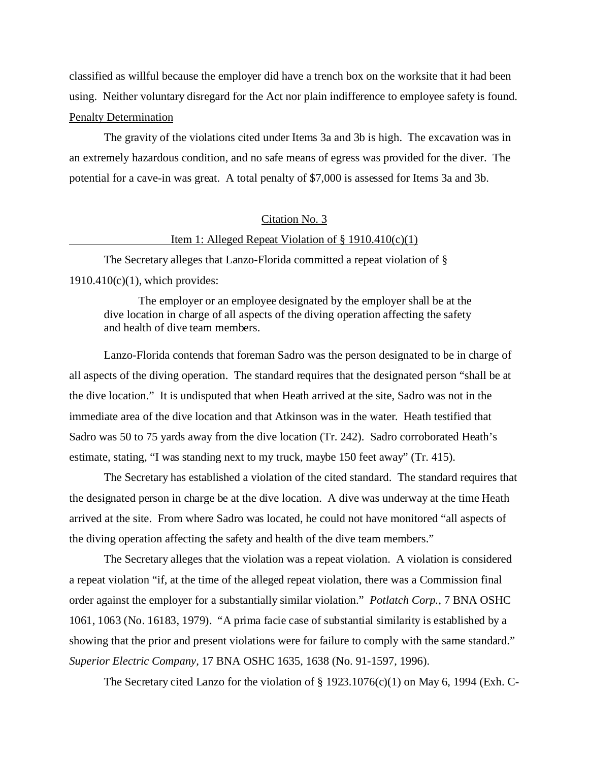classified as willful because the employer did have a trench box on the worksite that it had been using. Neither voluntary disregard for the Act nor plain indifference to employee safety is found. Penalty Determination

The gravity of the violations cited under Items 3a and 3b is high. The excavation was in an extremely hazardous condition, and no safe means of egress was provided for the diver. The potential for a cave-in was great. A total penalty of \$7,000 is assessed for Items 3a and 3b.

## Citation No. 3

### Item 1: Alleged Repeat Violation of  $\S$  1910.410(c)(1)

The Secretary alleges that Lanzo-Florida committed a repeat violation of § 1910.410(c)(1), which provides:

The employer or an employee designated by the employer shall be at the dive location in charge of all aspects of the diving operation affecting the safety and health of dive team members.

Lanzo-Florida contends that foreman Sadro was the person designated to be in charge of all aspects of the diving operation. The standard requires that the designated person "shall be at the dive location." It is undisputed that when Heath arrived at the site, Sadro was not in the immediate area of the dive location and that Atkinson was in the water. Heath testified that Sadro was 50 to 75 yards away from the dive location (Tr. 242). Sadro corroborated Heath's estimate, stating, "I was standing next to my truck, maybe 150 feet away" (Tr. 415).

The Secretary has established a violation of the cited standard. The standard requires that the designated person in charge be at the dive location. A dive was underway at the time Heath arrived at the site. From where Sadro was located, he could not have monitored "all aspects of the diving operation affecting the safety and health of the dive team members."

The Secretary alleges that the violation was a repeat violation. A violation is considered a repeat violation "if, at the time of the alleged repeat violation, there was a Commission final order against the employer for a substantially similar violation." *Potlatch Corp.,* 7 BNA OSHC 1061, 1063 (No. 16183, 1979). "A prima facie case of substantial similarity is established by a showing that the prior and present violations were for failure to comply with the same standard." *Superior Electric Company,* 17 BNA OSHC 1635, 1638 (No. 91-1597, 1996).

The Secretary cited Lanzo for the violation of  $\S 1923.1076(c)(1)$  on May 6, 1994 (Exh. C-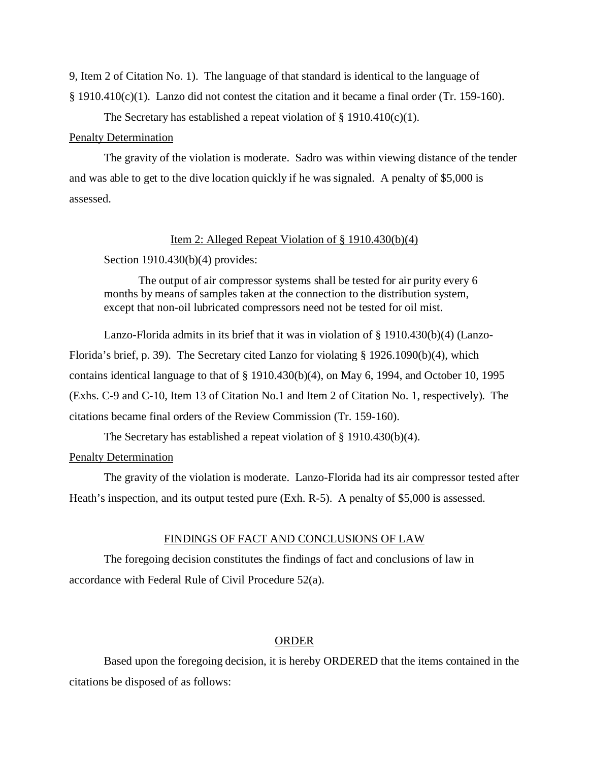9, Item 2 of Citation No. 1). The language of that standard is identical to the language of § 1910.410(c)(1). Lanzo did not contest the citation and it became a final order (Tr. 159-160).

The Secretary has established a repeat violation of  $\S$  1910.410(c)(1).

## Penalty Determination

The gravity of the violation is moderate. Sadro was within viewing distance of the tender and was able to get to the dive location quickly if he was signaled. A penalty of \$5,000 is assessed.

### Item 2: Alleged Repeat Violation of § 1910.430(b)(4)

Section 1910.430(b)(4) provides:

The output of air compressor systems shall be tested for air purity every 6 months by means of samples taken at the connection to the distribution system, except that non-oil lubricated compressors need not be tested for oil mist.

Lanzo-Florida admits in its brief that it was in violation of § 1910.430(b)(4) (Lanzo-Florida's brief, p. 39). The Secretary cited Lanzo for violating § 1926.1090(b)(4), which contains identical language to that of § 1910.430(b)(4), on May 6, 1994, and October 10, 1995 (Exhs. C-9 and C-10, Item 13 of Citation No.1 and Item 2 of Citation No. 1, respectively). The citations became final orders of the Review Commission (Tr. 159-160).

The Secretary has established a repeat violation of § 1910.430(b)(4).

## Penalty Determination

The gravity of the violation is moderate. Lanzo-Florida had its air compressor tested after Heath's inspection, and its output tested pure (Exh. R-5). A penalty of \$5,000 is assessed.

## FINDINGS OF FACT AND CONCLUSIONS OF LAW

The foregoing decision constitutes the findings of fact and conclusions of law in accordance with Federal Rule of Civil Procedure 52(a).

## ORDER

Based upon the foregoing decision, it is hereby ORDERED that the items contained in the citations be disposed of as follows: